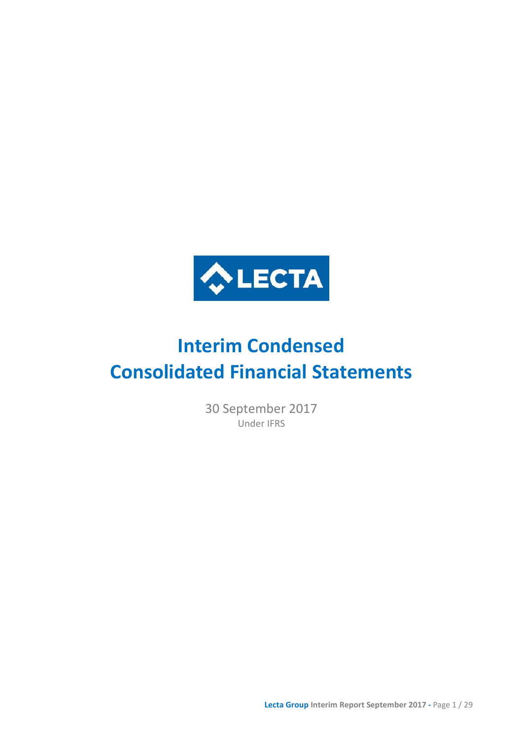

# **Interim Condensed Consolidated Financial Statements**

30 September 2017 Under IFRS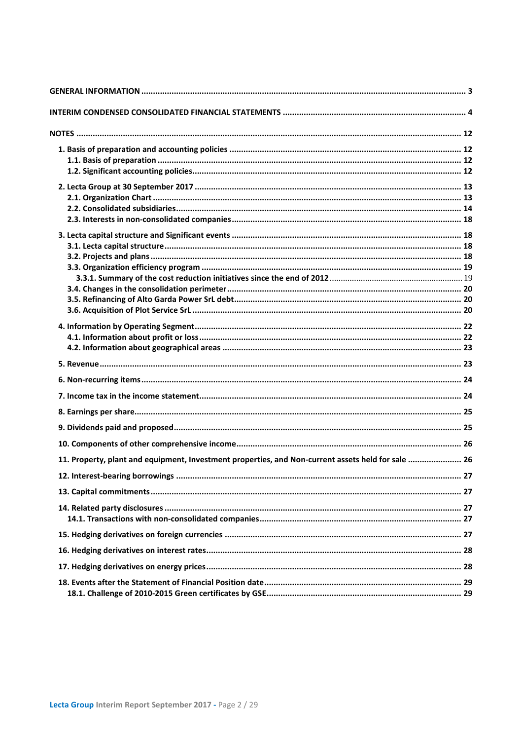| 11. Property, plant and equipment, Investment properties, and Non-current assets held for sale  26 |  |
|----------------------------------------------------------------------------------------------------|--|
|                                                                                                    |  |
|                                                                                                    |  |
|                                                                                                    |  |
|                                                                                                    |  |
|                                                                                                    |  |
|                                                                                                    |  |
|                                                                                                    |  |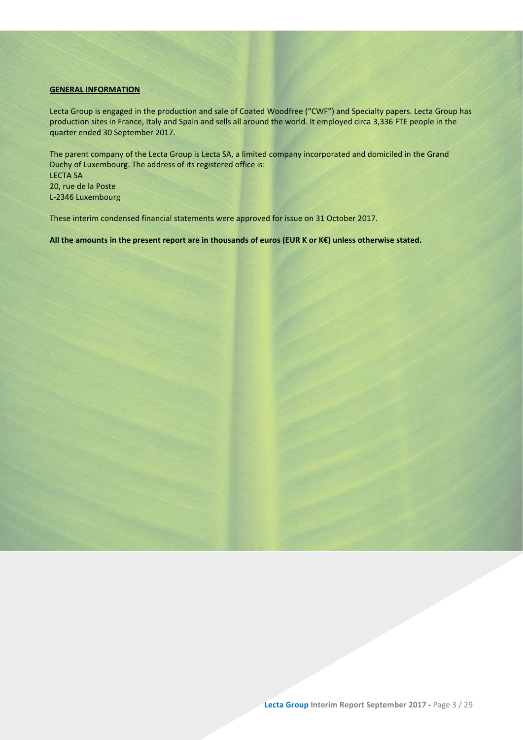### <span id="page-2-0"></span>**GENERAL INFORMATION**

Lecta Group is engaged in the production and sale of Coated Woodfree ("CWF") and Specialty papers. Lecta Group has production sites in France, Italy and Spain and sells all around the world. It employed circa 3,336 FTE people in the quarter ended 30 September 2017.

The parent company of the Lecta Group is Lecta SA, a limited company incorporated and domiciled in the Grand Duchy of Luxembourg. The address of its registered office is: LECTA SA 20, rue de la Poste L-2346 Luxembourg

These interim condensed financial statements were approved for issue on 31 October 2017.

**All the amounts in the present report are in thousands of euros (EUR K or K€) unless otherwise stated.**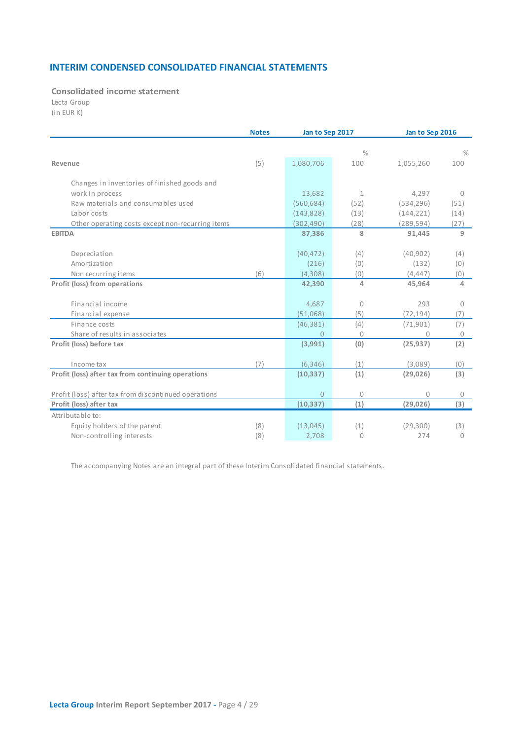### **INTERIM CONDENSED CONSOLIDATED FINANCIAL STATEMENTS**

<span id="page-3-0"></span>**Consolidated income statement**

Lecta Group

(in EUR K)

|                                                      | <b>Notes</b> | Jan to Sep 2017 |               | Jan to Sep 2016 |              |  |
|------------------------------------------------------|--------------|-----------------|---------------|-----------------|--------------|--|
|                                                      |              |                 |               |                 |              |  |
|                                                      |              |                 | $\frac{0}{0}$ |                 | $\%$         |  |
| Revenue                                              | (5)          | 1,080,706       | 100           | 1,055,260       | 100          |  |
| Changes in inventories of finished goods and         |              |                 |               |                 |              |  |
| work in process                                      |              | 13,682          | $\mathbf{1}$  | 4,297           | $\Omega$     |  |
| Raw materials and consumables used                   |              | (560, 684)      | (52)          |                 | (51)         |  |
| Labor costs                                          |              |                 |               | (534, 296)      |              |  |
|                                                      |              | (143, 828)      | (13)          | (144, 221)      | (14)         |  |
| Other operating costs except non-recurring items     |              | (302, 490)      | (28)          | (289, 594)      | (27)         |  |
| <b>EBITDA</b>                                        |              | 87,386          | 8             | 91,445          | 9            |  |
| Depreciation                                         |              | (40, 472)       | (4)           | (40, 902)       | (4)          |  |
| Amortization                                         |              | (216)           | (0)           | (132)           | (0)          |  |
| Non recurring items                                  | (6)          | (4,308)         | (0)           | (4, 447)        | (0)          |  |
| Profit (loss) from operations                        |              | 42,390          | 4             | 45,964          | 4            |  |
|                                                      |              |                 |               |                 |              |  |
| Financial income                                     |              | 4,687           | 0             | 293             | $\Omega$     |  |
| Financial expense                                    |              | (51,068)        | (5)           | (72, 194)       | (7)          |  |
| Finance costs                                        |              | (46, 381)       | (4)           | (71, 901)       | (7)          |  |
| Share of results in associates                       |              | $\Omega$        | $\Omega$      |                 | 0            |  |
| Profit (loss) before tax                             |              | (3,991)         | (0)           | (25, 937)       | (2)          |  |
|                                                      |              |                 |               |                 |              |  |
| Income tax                                           | (7)          | (6, 346)        | (1)           | (3,089)         | (0)          |  |
| Profit (loss) after tax from continuing operations   |              | (10, 337)       | (1)           | (29, 026)       | (3)          |  |
|                                                      |              | $\overline{0}$  | $\Omega$      | $\Omega$        | $\mathbf{0}$ |  |
| Profit (loss) after tax from discontinued operations |              |                 |               |                 |              |  |
| Profit (loss) after tax<br>Attributable to:          |              | (10, 337)       | (1)           | (29, 026)       | (3)          |  |
|                                                      |              |                 |               |                 |              |  |
| Equity holders of the parent                         | (8)          | (13,045)        | (1)           | (29, 300)       | (3)          |  |
| Non-controlling interests                            | (8)          | 2,708           | 0             | 274             | $\mathbf{0}$ |  |

The accompanying Notes are an integral part of these Interim Consolidated financial statements.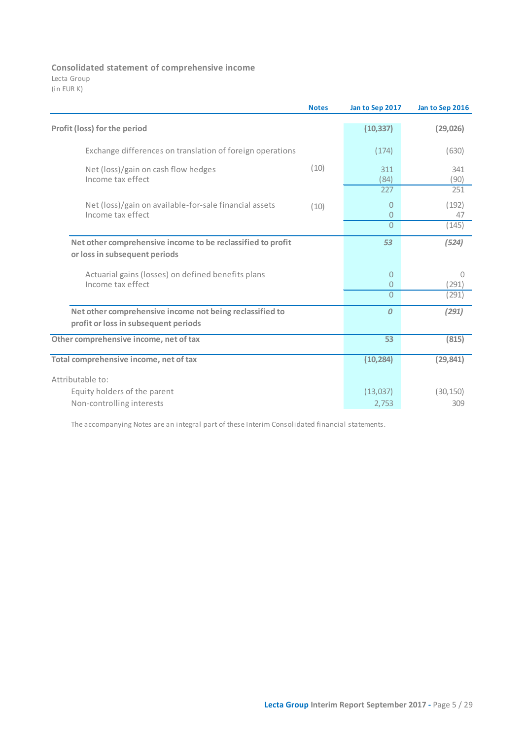**Consolidated statement of comprehensive income** 

Lecta Group (in EUR K)

|                                                                                                  | <b>Notes</b> | Jan to Sep 2017                  | Jan to Sep 2016 |
|--------------------------------------------------------------------------------------------------|--------------|----------------------------------|-----------------|
| Profit (loss) for the period                                                                     |              | (10, 337)                        | (29, 026)       |
| Exchange differences on translation of foreign operations                                        |              | (174)                            | (630)           |
| Net (loss)/gain on cash flow hedges<br>Income tax effect                                         | (10)         | 311<br>(84)                      | 341<br>(90)     |
|                                                                                                  |              | 227                              | 251             |
| Net (loss)/gain on available-for-sale financial assets<br>Income tax effect                      | (10)         | 0<br>$\overline{0}$              | (192)<br>47     |
|                                                                                                  |              | $\Omega$                         | (145)           |
| Net other comprehensive income to be reclassified to profit<br>or loss in subsequent periods     |              | 53                               | (524)           |
| Actuarial gains (losses) on defined benefits plans<br>Income tax effect                          |              | $\overline{0}$<br>$\overline{0}$ | 0<br>(291)      |
|                                                                                                  |              | $\Omega$                         | (291)           |
| Net other comprehensive income not being reclassified to<br>profit or loss in subsequent periods |              | $\boldsymbol{0}$                 | (291)           |
| Other comprehensive income, net of tax                                                           |              | 53                               | (815)           |
| Total comprehensive income, net of tax                                                           |              | (10, 284)                        | (29, 841)       |
| Attributable to:                                                                                 |              |                                  |                 |
| Equity holders of the parent                                                                     |              | (13,037)                         | (30, 150)       |
| Non-controlling interests                                                                        |              | 2,753                            | 309             |

The accompanying Notes are an integral part of these Interim Consolidated financial statements.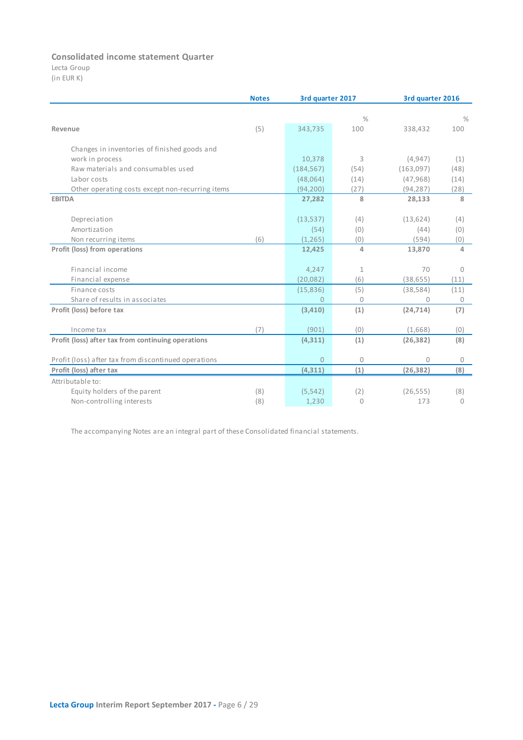### **Consolidated income statement Quarter**

Lecta Group (in EUR K)

|                                                      | <b>Notes</b> |                | 3rd quarter 2017 |           | 3rd quarter 2016 |  |  |
|------------------------------------------------------|--------------|----------------|------------------|-----------|------------------|--|--|
|                                                      |              |                | $\frac{0}{0}$    |           | $\%$             |  |  |
| Revenue                                              | (5)          | 343,735        | 100              | 338,432   | 100              |  |  |
|                                                      |              |                |                  |           |                  |  |  |
| Changes in inventories of finished goods and         |              |                |                  |           |                  |  |  |
| work in process                                      |              | 10,378         | 3                | (4, 947)  | (1)              |  |  |
| Raw materials and consumables used                   |              | (184, 567)     | (54)             | (163,097) | (48)             |  |  |
| Labor costs                                          |              | (48,064)       | (14)             | (47, 968) | (14)             |  |  |
| Other operating costs except non-recurring items     |              | (94, 200)      | (27)             | (94, 287) | (28)             |  |  |
| <b>EBITDA</b>                                        |              | 27,282         | 8                | 28,133    | 8                |  |  |
| Depreciation                                         |              | (13,537)       | (4)              | (13, 624) | (4)              |  |  |
| Amortization                                         |              | (54)           | (0)              | (44)      | (0)              |  |  |
| Non recurring items                                  | (6)          | (1, 265)       | (0)              | (594)     | (0)              |  |  |
| Profit (loss) from operations                        |              | 12,425         | 4                | 13,870    | 4                |  |  |
| Financial income                                     |              |                |                  | 70        | $\Omega$         |  |  |
|                                                      |              | 4,247          | $\mathbf{1}$     |           |                  |  |  |
| Financial expense                                    |              | (20, 082)      | (6)              | (38, 655) | (11)             |  |  |
| Finance costs                                        |              | (15,836)       | (5)              | (38, 584) | (11)             |  |  |
| Share of results in associates                       |              | $\Omega$       | $\bigcap$        | $\Omega$  | 0                |  |  |
| Profit (loss) before tax                             |              | (3,410)        | (1)              | (24, 714) | (7)              |  |  |
| Income tax                                           | (7)          | (901)          | (0)              | (1,668)   | (0)              |  |  |
| Profit (loss) after tax from continuing operations   |              | (4, 311)       | (1)              | (26, 382) | (8)              |  |  |
| Profit (loss) after tax from discontinued operations |              | $\overline{0}$ | 0                | $\Omega$  | 0                |  |  |
| Profit (loss) after tax                              |              | (4,311)        | (1)              | (26, 382) | (8)              |  |  |
| Attributable to:                                     |              |                |                  |           |                  |  |  |
| Equity holders of the parent                         | (8)          | (5, 542)       | (2)              | (26, 555) | (8)              |  |  |
| Non-controlling interests                            | (8)          | 1,230          | $\Omega$         | 173       | $\mathbf{0}$     |  |  |

The accompanying Notes are an integral part of these Consolidated financial statements.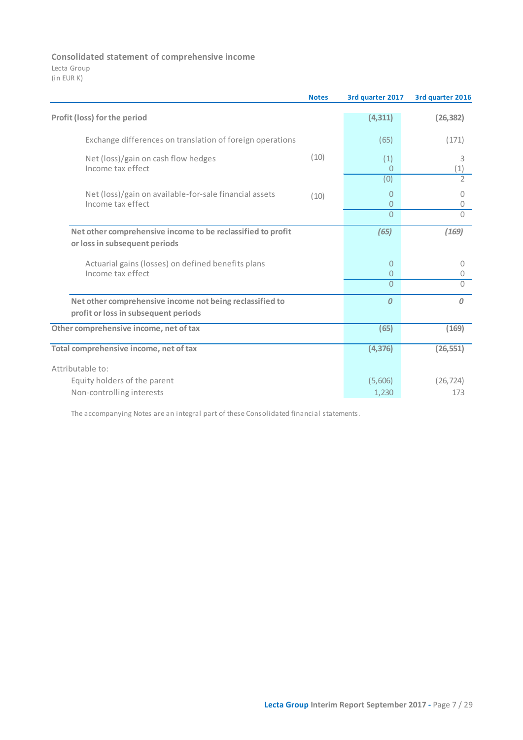### **Consolidated statement of comprehensive income**

Lecta Group (in EUR K)

|                                                                                                  | <b>Notes</b> | 3rd quarter 2017 | 3rd quarter 2016 |
|--------------------------------------------------------------------------------------------------|--------------|------------------|------------------|
| Profit (loss) for the period                                                                     |              | (4, 311)         | (26, 382)        |
| Exchange differences on translation of foreign operations                                        |              | (65)             | (171)            |
| Net (loss)/gain on cash flow hedges<br>Income tax effect                                         | (10)         | (1)<br>0         | 3<br>(1)         |
|                                                                                                  |              | (0)              | $\overline{2}$   |
| Net (loss)/gain on available-for-sale financial assets<br>Income tax effect                      | (10)         | 0<br>0           | 0<br>0           |
|                                                                                                  |              | $\overline{0}$   | $\bigcap$        |
| Net other comprehensive income to be reclassified to profit<br>or loss in subsequent periods     |              | (65)             | (169)            |
| Actuarial gains (losses) on defined benefits plans<br>Income tax effect                          |              | 0<br>0           | 0<br>0           |
|                                                                                                  |              | 0                | $\Omega$         |
| Net other comprehensive income not being reclassified to<br>profit or loss in subsequent periods |              | $\boldsymbol{0}$ | $\Omega$         |
| Other comprehensive income, net of tax                                                           |              | (65)             | (169)            |
| Total comprehensive income, net of tax                                                           |              | (4, 376)         | (26, 551)        |
| Attributable to:                                                                                 |              |                  |                  |
| Equity holders of the parent                                                                     |              | (5,606)          | (26, 724)        |
| Non-controlling interests                                                                        |              | 1,230            | 173              |

The accompanying Notes are an integral part of these Consolidated financial statements.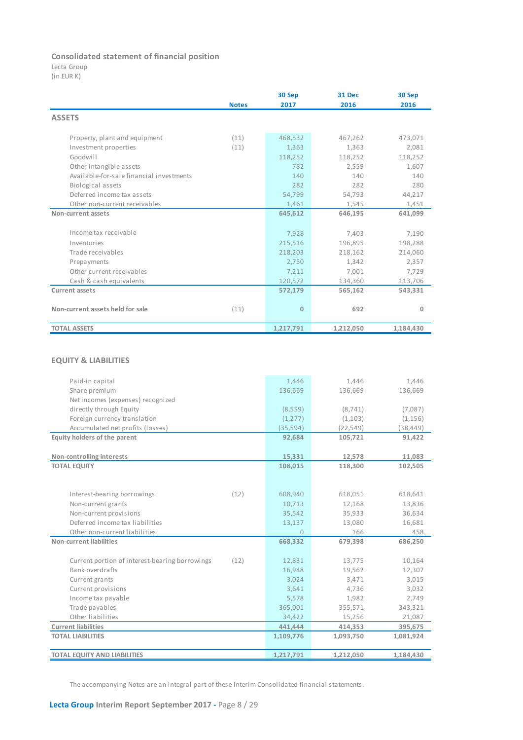### **Consolidated statement of financial position**

Lecta Group

(in EUR K)

|                                          |              | 30 Sep       | <b>31 Dec</b> | 30 Sep    |
|------------------------------------------|--------------|--------------|---------------|-----------|
|                                          | <b>Notes</b> | 2017         | 2016          | 2016      |
| <b>ASSETS</b>                            |              |              |               |           |
| Property, plant and equipment            | (11)         | 468,532      | 467,262       | 473,071   |
| Investment properties                    | (11)         | 1,363        | 1,363         | 2,081     |
| Goodwill                                 |              | 118,252      | 118,252       | 118,252   |
| Other intangible assets                  |              | 782          | 2.559         | 1,607     |
| Available-for-sale financial investments |              | 140          | 140           | 140       |
| Biological assets                        |              | 282          | 282           | 280       |
| Deferred income tax assets               |              | 54,799       | 54,793        | 44,217    |
| Other non-current receivables            |              | 1,461        | 1,545         | 1,451     |
| Non-current assets                       |              | 645,612      | 646,195       | 641,099   |
| Income tax receivable                    |              | 7,928        | 7,403         | 7,190     |
| Inventories                              |              | 215,516      | 196,895       | 198,288   |
| Trade receivables                        |              | 218,203      | 218,162       | 214,060   |
| Prepayments                              |              | 2,750        | 1,342         | 2,357     |
| Other current receivables                |              | 7,211        | 7,001         | 7,729     |
| Cash & cash equivalents                  |              | 120,572      | 134,360       | 113,706   |
| <b>Current assets</b>                    |              | 572,179      | 565,162       | 543,331   |
| Non-current assets held for sale         | (11)         | $\mathbf{0}$ | 692           | 0         |
| <b>TOTAL ASSETS</b>                      |              | 1,217,791    | 1,212,050     | 1,184,430 |

### **EQUITY & LIABILITIES**

| Paid-in capital                                        | 1,446          | 1,446     | 1,446     |
|--------------------------------------------------------|----------------|-----------|-----------|
| Share premium                                          | 136,669        | 136,669   | 136,669   |
| Net incomes (expenses) recognized                      |                |           |           |
| directly through Equity                                | (8,559)        | (8, 741)  | (7,087)   |
| Foreign currency translation                           | (1, 277)       | (1,103)   | (1, 156)  |
| Accumulated net profits (losses)                       | (35, 594)      | (22, 549) | (38, 449) |
| Equity holders of the parent                           | 92,684         | 105,721   | 91,422    |
|                                                        |                |           |           |
| Non-controlling interests                              | 15,331         | 12,578    | 11,083    |
| <b>TOTAL EQUITY</b>                                    | 108,015        | 118,300   | 102,505   |
|                                                        |                |           |           |
|                                                        |                |           |           |
| (12)<br>Interest-bearing borrowings                    | 608,940        | 618,051   | 618,641   |
| Non-current grants                                     | 10,713         | 12,168    | 13,836    |
| Non-current provisions                                 | 35,542         | 35,933    | 36,634    |
| Deferred income tax liabilities                        | 13,137         | 13,080    | 16,681    |
| Other non-current liabilities                          | $\overline{0}$ | 166       | 458       |
| Non-current liabilities                                | 668,332        | 679,398   | 686,250   |
|                                                        |                |           |           |
| Current portion of interest-bearing borrowings<br>(12) | 12,831         | 13,775    | 10,164    |
| Bank overdrafts                                        | 16,948         | 19,562    | 12,307    |
| Current grants                                         | 3,024          | 3,471     | 3,015     |
| Current provisions                                     | 3,641          | 4,736     | 3,032     |
| Income tax payable                                     | 5,578          | 1,982     | 2,749     |
| Trade payables                                         | 365,001        | 355,571   | 343,321   |
| Other liabilities                                      | 34,422         | 15,256    | 21,087    |
| <b>Current liabilities</b>                             | 441,444        | 414,353   | 395,675   |
| <b>TOTAL LIABILITIES</b>                               | 1,109,776      | 1,093,750 | 1,081,924 |
|                                                        |                |           |           |
| <b>TOTAL EQUITY AND LIABILITIES</b>                    | 1,217,791      | 1,212,050 | 1,184,430 |

The accompanying Notes are an integral part of these Interim Consolidated financial statements.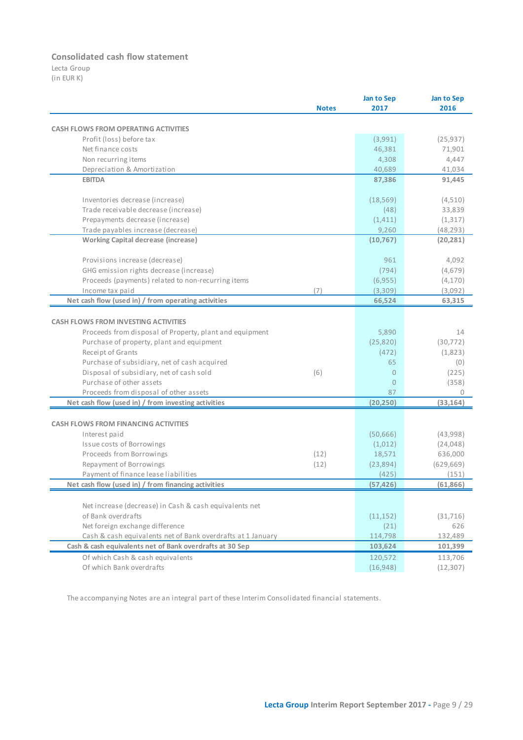### **Consolidated cash flow statement**

Lecta Group (in EUR K)

|                                                             |              | Jan to Sep     | Jan to Sep |
|-------------------------------------------------------------|--------------|----------------|------------|
|                                                             | <b>Notes</b> | 2017           | 2016       |
|                                                             |              |                |            |
| <b>CASH FLOWS FROM OPERATING ACTIVITIES</b>                 |              |                |            |
| Profit (loss) before tax                                    |              | (3,991)        | (25, 937)  |
| Net finance costs                                           |              | 46,381         | 71,901     |
| Non recurring items                                         |              | 4,308          | 4,447      |
| Depreciation & Amortization                                 |              | 40,689         | 41,034     |
| <b>EBITDA</b>                                               |              | 87,386         | 91,445     |
| Inventories decrease (increase)                             |              | (18, 569)      | (4,510)    |
| Trade receivable decrease (increase)                        |              | (48)           | 33,839     |
| Prepayments decrease (increase)                             |              | (1, 411)       | (1, 317)   |
| Trade payables increase (decrease)                          |              | 9,260          | (48, 293)  |
| <b>Working Capital decrease (increase)</b>                  |              | (10, 767)      | (20, 281)  |
| Provisions increase (decrease)                              |              | 961            | 4,092      |
| GHG emission rights decrease (increase)                     |              | (794)          | (4,679)    |
| Proceeds (payments) related to non-recurring items          |              | (6,955)        | (4, 170)   |
| Income tax paid                                             | (7)          | (3,309)        | (3,092)    |
| Net cash flow (used in) / from operating activities         |              | 66,524         | 63,315     |
|                                                             |              |                |            |
| <b>CASH FLOWS FROM INVESTING ACTIVITIES</b>                 |              |                |            |
| Proceeds from disposal of Property, plant and equipment     |              | 5,890          | 14         |
| Purchase of property, plant and equipment                   |              | (25, 820)      | (30, 772)  |
| Receipt of Grants                                           |              | (472)          | (1,823)    |
| Purchase of subsidiary, net of cash acquired                |              | 65             | (0)        |
| Disposal of subsidiary, net of cash sold                    | (6)          | $\overline{0}$ | (225)      |
| Purchase of other assets                                    |              | $\Omega$       | (358)      |
| Proceeds from disposal of other assets                      |              | 87             | $\Omega$   |
| Net cash flow (used in) / from investing activities         |              | (20, 250)      | (33, 164)  |
|                                                             |              |                |            |
| <b>CASH FLOWS FROM FINANCING ACTIVITIES</b>                 |              |                |            |
| Interest paid                                               |              | (50, 666)      | (43,998)   |
| Issue costs of Borrowings                                   |              | (1,012)        | (24, 048)  |
| Proceeds from Borrowings                                    | (12)         | 18,571         | 636,000    |
| Repayment of Borrowings                                     | (12)         | (23,894)       | (629, 669) |
| Payment of finance lease liabilities                        |              | (425)          | (151)      |
| Net cash flow (used in) / from financing activities         |              | (57, 426)      | (61, 866)  |
| Net increase (decrease) in Cash & cash equivalents net      |              |                |            |
| of Bank overdrafts                                          |              |                |            |
|                                                             |              | (11, 152)      | (31,716)   |
| Net foreign exchange difference                             |              | (21)           | 626        |
| Cash & cash equivalents net of Bank overdrafts at 1 January |              | 114,798        | 132,489    |
| Cash & cash equivalents net of Bank overdrafts at 30 Sep    |              | 103,624        | 101,399    |
| Of which Cash & cash equivalents                            |              | 120,572        | 113,706    |
| Of which Bank overdrafts                                    |              | (16, 948)      | (12, 307)  |

The accompanying Notes are an integral part of these Interim Consolidated financial statements.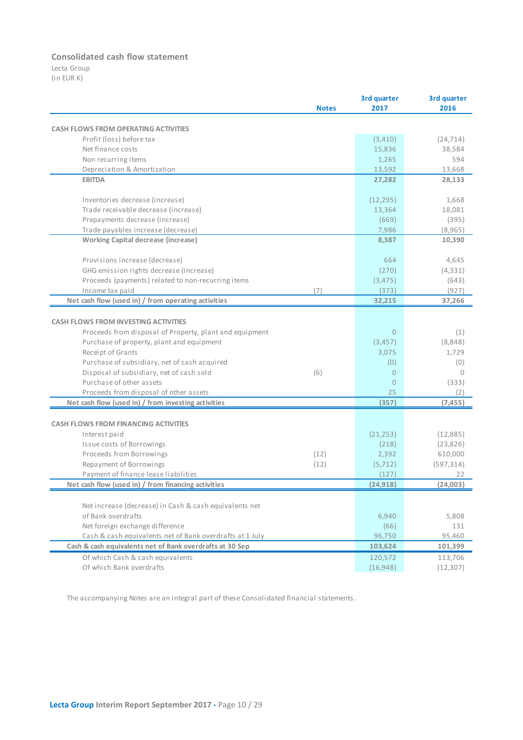### **Consolidated cash flow statement**

Lecta Group (in EUR K)

|                                                                              |              | 3rd quarter    | 3rd quarter |
|------------------------------------------------------------------------------|--------------|----------------|-------------|
|                                                                              | <b>Notes</b> | 2017           | 2016        |
|                                                                              |              |                |             |
| <b>CASH FLOWS FROM OPERATING ACTIVITIES</b>                                  |              |                |             |
| Profit (loss) before tax                                                     |              | (3, 410)       | (24, 714)   |
| Net finance costs                                                            |              | 15,836         | 38,584      |
| Non recurring items                                                          |              | 1,265          | 594         |
| Depreciation & Amortization                                                  |              | 13,592         | 13,668      |
| <b>EBITDA</b>                                                                |              | 27,282         | 28,133      |
| Inventories decrease (increase)                                              |              | (12, 295)      | 1,668       |
| Trade receivable decrease (increase)                                         |              | 13,364         | 18,081      |
| Prepayments decrease (increase)                                              |              | (669)          | (395)       |
| Trade payables increase (decrease)                                           |              | 7,986          | (8,965)     |
| <b>Working Capital decrease (increase)</b>                                   |              | 8,387          | 10,390      |
| Provisions increase (decrease)                                               |              | 664            | 4,645       |
| GHG emission rights decrease (increase)                                      |              | (270)          | (4, 331)    |
| Proceeds (payments) related to non-recurring items                           |              | (3, 475)       | (643)       |
| Income tax paid                                                              | (7)          | (373)          | (927)       |
| Net cash flow (used in) / from operating activities                          |              | 32,215         | 37,266      |
|                                                                              |              |                |             |
| <b>CASH FLOWS FROM INVESTING ACTIVITIES</b>                                  |              |                |             |
| Proceeds from disposal of Property, plant and equipment                      |              | $\overline{0}$ | (1)         |
| Purchase of property, plant and equipment                                    |              | (3, 457)       | (8,848)     |
| Receipt of Grants                                                            |              | 3,075          | 1,729       |
| Purchase of subsidiary, net of cash acquired                                 |              | (0)            | (0)         |
| Disposal of subsidiary, net of cash sold                                     | (6)          | $\overline{0}$ | $\Omega$    |
| Purchase of other assets                                                     |              | $\Omega$       | (333)       |
| Proceeds from disposal of other assets                                       |              | 25             | (2)         |
| Net cash flow (used in) / from investing activities                          |              | (357)          | (7, 455)    |
|                                                                              |              |                |             |
| <b>CASH FLOWS FROM FINANCING ACTIVITIES</b>                                  |              |                |             |
| Interest paid                                                                |              | (21, 253)      | (12,885)    |
| Issue costs of Borrowings                                                    |              | (218)          | (23, 826)   |
| Proceeds from Borrowings                                                     | (12)         | 2,392          | 610,000     |
| Repayment of Borrowings                                                      | (12)         | (5, 712)       | (597, 314)  |
| Payment of finance lease liabilities                                         |              | (127)          | 22          |
| Net cash flow (used in) / from financing activities                          |              | (24, 918)      | (24,003)    |
|                                                                              |              |                |             |
| Net increase (decrease) in Cash & cash equivalents net<br>of Bank overdrafts |              |                |             |
|                                                                              |              | 6,940          | 5,808       |
| Net foreign exchange difference                                              |              | (66)           | 131         |
| Cash & cash equivalents net of Bank overdrafts at 1 July                     |              | 96,750         | 95,460      |
| Cash & cash equivalents net of Bank overdrafts at 30 Sep                     |              | 103,624        | 101,399     |
| Of which Cash & cash equivalents                                             |              | 120,572        | 113,706     |
| Of which Bank overdrafts                                                     |              | (16,948)       | (12, 307)   |

The accompanying Notes are an integral part of these Consolidated financial statements.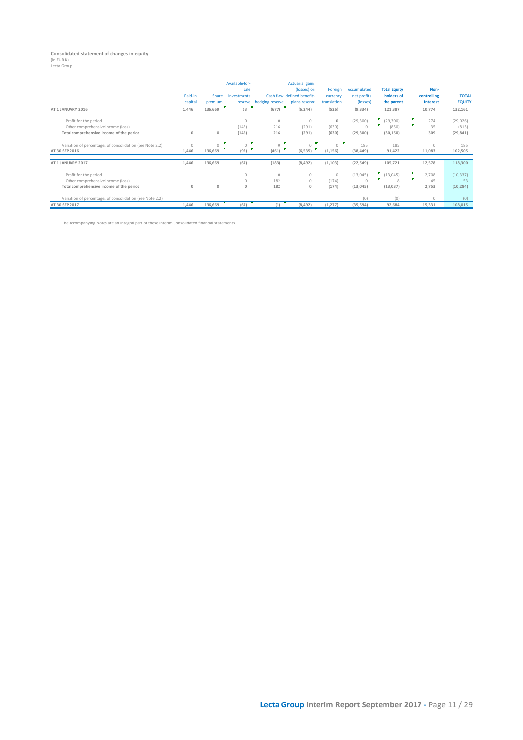## **Consolidated statement of changes in equity** (in EUR K)

| гта<br>. | 170115 |
|----------|--------|
|          |        |

| Lecta Group                                              |              |              |                        |                 |                                       |             |             |                     |                 |               |
|----------------------------------------------------------|--------------|--------------|------------------------|-----------------|---------------------------------------|-------------|-------------|---------------------|-----------------|---------------|
|                                                          |              |              | Available-for-<br>sale |                 | <b>Actuarial gains</b><br>(losses) on | Foreign     | Accumulated | <b>Total Equity</b> | Non-            |               |
|                                                          | Paid-in      | Share        | investments            |                 | Cash flow defined benefits            | currency    | net profits | holders of          | controlling     | <b>TOTAL</b>  |
|                                                          | capital      | premium      | reserve                | hedging reserve | plans reserve                         | translation | (losses)    | the parent          | <b>Interest</b> | <b>EQUITY</b> |
| AT 1 JANUARY 2016                                        | 1,446        | 136,669      | 53                     | (677)           | (6, 244)                              | (526)       | (9, 334)    | 121,387             | 10,774          | 132,161       |
| Profit for the period                                    |              |              | $\theta$               | $\circ$         | $\Omega$                              | $\circ$     | (29, 300)   | (29, 300)           | ν.<br>274<br>m. | (29, 026)     |
| Other comprehensive income (loss)                        |              |              | (145)                  | 216             | (291)                                 | (630)       |             | (850)               | 35              | (815)         |
| Total comprehensive income of the period                 | $\mathbf{0}$ | $\mathbf{0}$ | (145)                  | 216             | (291)                                 | (630)       | (29, 300)   | (30, 150)           | 309             | (29, 841)     |
| Variation of percentages of consolidation (see Note 2.2) | $\circ$      | $\Omega$     | $\bigcap$              | ×<br>0          | P<br>$\Omega$                         | $\Omega$    | 185         | 185                 | $\circ$         | 185           |
| AT 30 SEP 2016                                           | 1,446        | 136,669      | (92)                   | (461)           | (6, 535)                              | (1, 156)    | (38, 449)   | 91,422              | 11,083          | 102,505       |
|                                                          |              |              |                        |                 |                                       |             |             |                     |                 |               |
| AT 1 JANUARY 2017                                        | 1,446        | 136,669      | (67)                   | (183)           | (8, 492)                              | (1, 103)    | (22, 549)   | 105,721             | 12,578          | 118,300       |
| Profit for the period                                    |              |              | $\theta$               | 0               | 0                                     | $\theta$    | (13, 045)   | (13,045)            | 2,708           | (10, 337)     |
| Other comprehensive income (loss)                        |              |              | $\circ$                | 182             | 0                                     | (174)       |             | 8                   | 45              | 53            |
| Total comprehensive income of the period                 | $\mathbf{0}$ | $\mathbf{0}$ | $\mathbf 0$            | 182             | $\mathbf{0}$                          | (174)       | (13,045)    | (13,037)            | 2,753           | (10, 284)     |
| Variation of percentages of consolidation (See Note 2.2) |              |              |                        |                 |                                       |             | (0)         | (0)                 | $\Omega$        | (0)           |
| AT 30 SEP 2017                                           | 1,446        | 136,669      | (67)                   | (1)             | (8,492)                               | (1, 277)    | (35,594)    | 92,684              | 15,331          | 108,015       |

The accompanying Notes are an integral part of these Interim Consolidated financial statements.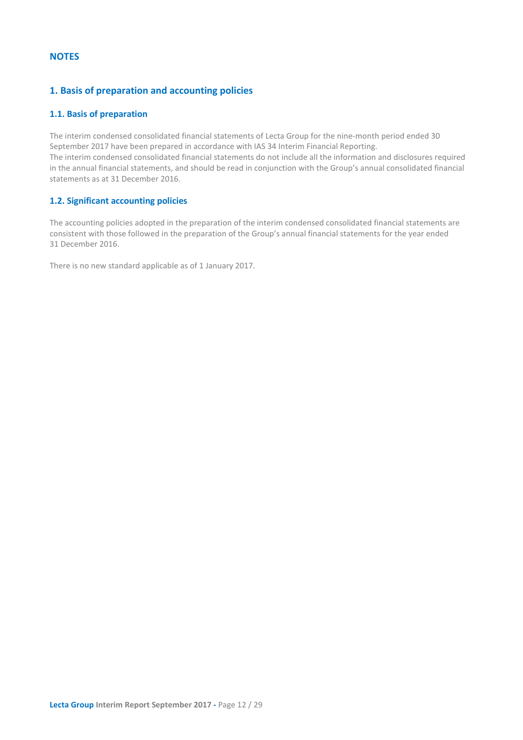### <span id="page-11-0"></span>**NOTES**

### <span id="page-11-1"></span>**1. Basis of preparation and accounting policies**

### <span id="page-11-2"></span>**1.1. Basis of preparation**

The interim condensed consolidated financial statements of Lecta Group for the nine-month period ended 30 September 2017 have been prepared in accordance with IAS 34 Interim Financial Reporting. The interim condensed consolidated financial statements do not include all the information and disclosures required in the annual financial statements, and should be read in conjunction with the Group's annual consolidated financial statements as at 31 December 2016.

### <span id="page-11-3"></span>**1.2. Significant accounting policies**

The accounting policies adopted in the preparation of the interim condensed consolidated financial statements are consistent with those followed in the preparation of the Group's annual financial statements for the year ended 31 December 2016.

There is no new standard applicable as of 1 January 2017.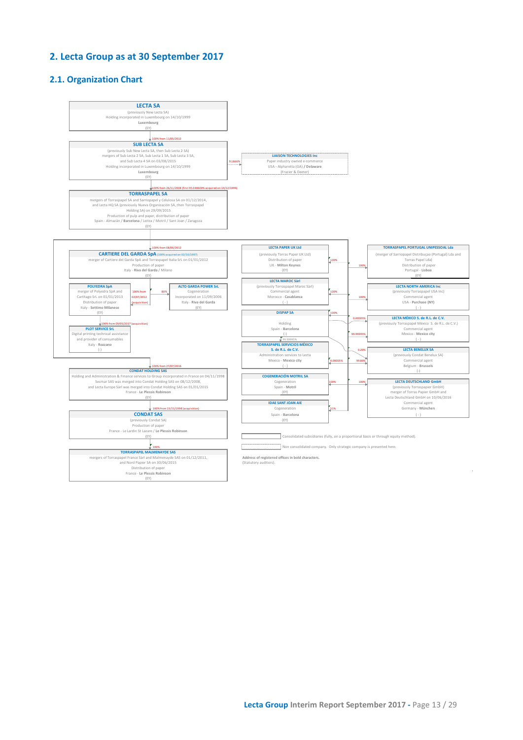### <span id="page-12-0"></span>**2. Lecta Group as at 30 September 2017**

### <span id="page-12-1"></span>**2.1. Organization Chart**

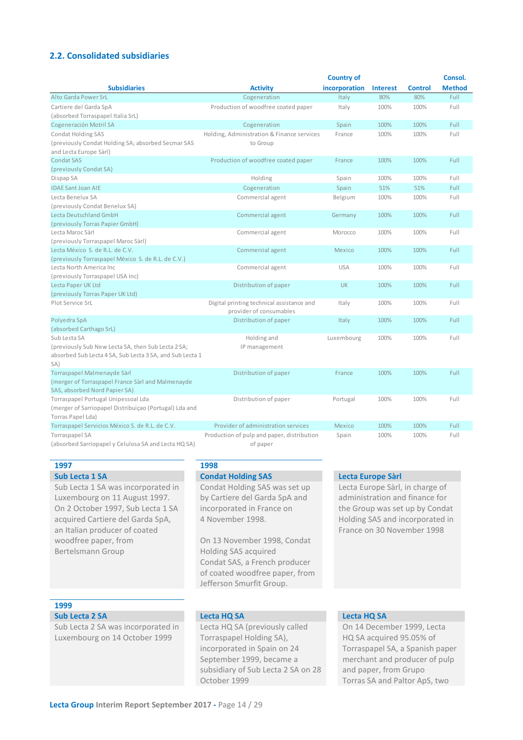### <span id="page-13-0"></span>**2.2. Consolidated subsidiaries**

|                                                                                                                                       |                                                                      | <b>Country of</b> |                 |                | Consol.       |
|---------------------------------------------------------------------------------------------------------------------------------------|----------------------------------------------------------------------|-------------------|-----------------|----------------|---------------|
| <b>Subsidiaries</b>                                                                                                                   | <b>Activity</b>                                                      | incorporation     | <b>Interest</b> | <b>Control</b> | <b>Method</b> |
| Alto Garda Power SrL                                                                                                                  | Cogeneration                                                         | Italy             | 80%             | 80%            | Full          |
| Cartiere del Garda SpA<br>(absorbed Torraspapel Italia SrL)                                                                           | Production of woodfree coated paper                                  | Italy             | 100%            | 100%           | Full          |
| Cogeneración Motril SA                                                                                                                | Cogeneration                                                         | Spain             | 100%            | 100%           | Full          |
| <b>Condat Holding SAS</b><br>(previously Condat Holding SA; absorbed Secmar SAS<br>and Lecta Europe Sàrl)                             | Holding, Administration & Finance services<br>to Group               | France            | 100%            | 100%           | Full          |
| <b>Condat SAS</b><br>(previously Condat SA)                                                                                           | Production of woodfree coated paper                                  | France            | 100%            | 100%           | Full          |
| Dispap SA                                                                                                                             | Holding                                                              | Spain             | 100%            | 100%           | Full          |
| <b>IDAE Sant Joan AIE</b>                                                                                                             | Cogeneration                                                         | Spain             | 51%             | 51%            | Full          |
| Lecta Benelux SA<br>(previously Condat Benelux SA)                                                                                    | Commercial agent                                                     | Belgium           | 100%            | 100%           | Full          |
| Lecta Deutschland GmbH<br>(previously Torras Papier GmbH)                                                                             | Commercial agent                                                     | Germany           | 100%            | 100%           | Full          |
| Lecta Maroc Sàrl<br>(previously Torraspapel Maroc Sàrl)                                                                               | Commercial agent                                                     | Morocco           | 100%            | 100%           | Full          |
| Lecta México S. de R.L. de C.V.<br>(previously Torraspapel México S. de R.L. de C.V.)                                                 | Commercial agent                                                     | Mexico            | 100%            | 100%           | Full          |
| Lecta North America Inc<br>(previously Torraspapel USA Inc)                                                                           | Commercial agent                                                     | <b>USA</b>        | 100%            | 100%           | Full          |
| Lecta Paper UK Ltd<br>(previously Torras Paper UK Ltd)                                                                                | Distribution of paper                                                | <b>UK</b>         | 100%            | 100%           | Full          |
| Plot Service SrL                                                                                                                      | Digital printing technical assistance and<br>provider of consumables | Italy             | 100%            | 100%           | Full          |
| Polyedra SpA<br>(absorbed Carthago SrL)                                                                                               | Distribution of paper                                                | Italy             | 100%            | 100%           | Full          |
| Sub Lecta SA<br>(previously Sub New Lecta SA, then Sub Lecta 2 SA;<br>absorbed Sub Lecta 4 SA, Sub Lecta 3 SA, and Sub Lecta 1<br>SA) | Holding and<br>IP management                                         | Luxembourg        | 100%            | 100%           | Full          |
| Torraspapel Malmenayde Sàrl<br>(merger of Torraspapel France Sàrl and Malmenayde<br>SAS, absorbed Nord Papier SA)                     | Distribution of paper                                                | France            | 100%            | 100%           | Full          |
| Torraspapel Portugal Unipessoal Lda<br>(merger of Sarriopapel Distribuiçao (Portugal) Lda and<br>Torras Papel Lda)                    | Distribution of paper                                                | Portugal          | 100%            | 100%           | Full          |
| Torraspapel Servicios México S. de R.L. de C.V.                                                                                       | Provider of administration services                                  | Mexico            | 100%            | 100%           | Full          |
| Torraspapel SA<br>(absorbed Sarriopapel y Celulosa SA and Lecta HQ SA)                                                                | Production of pulp and paper, distribution<br>of paper               | Spain             | 100%            | 100%           | Full          |

### **1997 1998**

Sub Lecta 1 SA was incorporated in Luxembourg on 11 August 1997. On 2 October 1997, Sub Lecta 1 SA acquired Cartiere del Garda SpA, an Italian producer of coated woodfree paper, from Bertelsmann Group

Condat Holding SAS was set up by Cartiere del Garda SpA and incorporated in France on 4 November 1998.

On 13 November 1998, Condat Holding SAS acquired Condat SAS, a French producer of coated woodfree paper, from Jefferson Smurfit Group.

### **Sub Lecta 1 SA Condat Holding SAS Lecta Europe Sàrl**

Lecta Europe Sàrl, in charge of administration and finance for the Group was set up by Condat Holding SAS and incorporated in France on 30 November 1998

### **1999**

### **Sub Lecta 2 SA Lecta HQ SA Lecta HQ SA**

Sub Lecta 2 SA was incorporated in Luxembourg on 14 October 1999

Lecta HQ SA (previously called Torraspapel Holding SA), incorporated in Spain on 24 September 1999, became a subsidiary of Sub Lecta 2 SA on 28 October 1999

On 14 December 1999, Lecta HQ SA acquired 95.05% of Torraspapel SA, a Spanish paper merchant and producer of pulp and paper, from Grupo Torras SA and Paltor ApS, two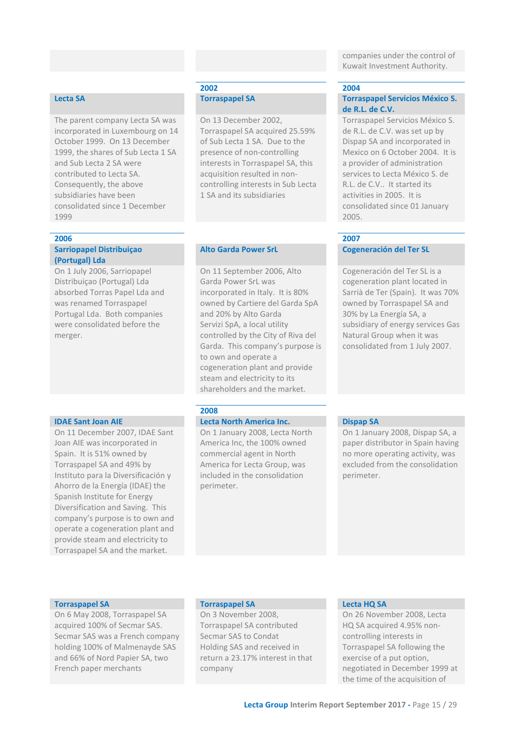companies under the control of Kuwait Investment Authority.

Torraspapel Servicios México S. de R.L. de C.V. was set up by Dispap SA and incorporated in Mexico on 6 October 2004. It is a provider of administration services to Lecta México S. de R.L. de C.V.. It started its activities in 2005. It is

consolidated since 01 January

Cogeneración del Ter SL is a cogeneration plant located in Sarrià de Ter (Spain). It was 70% owned by Torraspapel SA and 30% by La Energía SA, a

subsidiary of energy services Gas Natural Group when it was consolidated from 1 July 2007.

**de R.L. de C.V.**

2005.

The parent company Lecta SA was incorporated in Luxembourg on 14 October 1999. On 13 December 1999, the shares of Sub Lecta 1 SA and Sub Lecta 2 SA were contributed to Lecta SA. Consequently, the above subsidiaries have been consolidated since 1 December 1999

### **2006 2007**

### **Sarriopapel Distribuiçao (Portugal) Lda**

On 1 July 2006, Sarriopapel Distribuiçao (Portugal) Lda absorbed Torras Papel Lda and was renamed Torraspapel Portugal Lda. Both companies were consolidated before the merger.

On 11 December 2007, IDAE Sant Joan AIE was incorporated in Spain. It is 51% owned by Torraspapel SA and 49% by Instituto para la Diversificación y Ahorro de la Energía (IDAE) the Spanish Institute for Energy Diversification and Saving. This company's purpose is to own and operate a cogeneration plant and provide steam and electricity to Torraspapel SA and the market.

### **2002 2004 Lecta SA Torraspapel SA Torraspapel Servicios México S.**

On 13 December 2002, Torraspapel SA acquired 25.59% of Sub Lecta 1 SA. Due to the presence of non-controlling interests in Torraspapel SA, this acquisition resulted in noncontrolling interests in Sub Lecta 1 SA and its subsidiaries

### **Alto Garda Power SrL Cogeneración del Ter SL**

On 11 September 2006, Alto Garda Power SrL was incorporated in Italy. It is 80% owned by Cartiere del Garda SpA and 20% by Alto Garda Servizi SpA, a local utility controlled by the City of Riva del Garda. This company's purpose is to own and operate a cogeneration plant and provide steam and electricity to its shareholders and the market.

### **2008**

### **IDAE Sant Joan AIE Lecta North America Inc. Dispap SA**

On 1 January 2008, Lecta North America Inc, the 100% owned commercial agent in North America for Lecta Group, was included in the consolidation perimeter.

On 1 January 2008, Dispap SA, a paper distributor in Spain having no more operating activity, was excluded from the consolidation perimeter.

On 6 May 2008, Torraspapel SA acquired 100% of Secmar SAS. Secmar SAS was a French company holding 100% of Malmenayde SAS and 66% of Nord Papier SA, two French paper merchants

### **Torraspapel SA Torraspapel SA Lecta HQ SA**

On 3 November 2008, Torraspapel SA contributed Secmar SAS to Condat Holding SAS and received in return a 23.17% interest in that company

On 26 November 2008, Lecta HQ SA acquired 4.95% noncontrolling interests in Torraspapel SA following the exercise of a put option, negotiated in December 1999 at the time of the acquisition of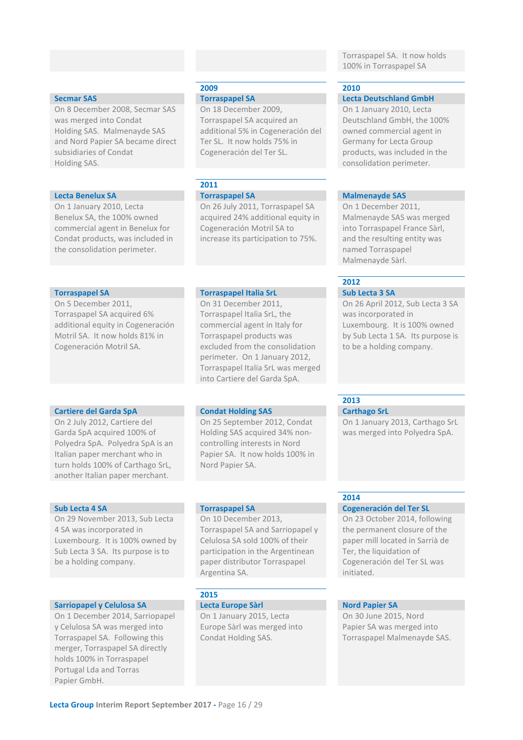On 8 December 2008, Secmar SAS was merged into Condat Holding SAS. Malmenayde SAS and Nord Papier SA became direct subsidiaries of Condat Holding SAS.

### **Lecta Benelux SA Torraspapel SA Malmenayde SAS**

On 1 January 2010, Lecta Benelux SA, the 100% owned commercial agent in Benelux for Condat products, was included in the consolidation perimeter.

On 5 December 2011, Torraspapel SA acquired 6% additional equity in Cogeneración Motril SA. It now holds 81% in Cogeneración Motril SA.

### **Cartiere del Garda SpA Condat Holding SAS Carthago SrL**

On 2 July 2012, Cartiere del Garda SpA acquired 100% of Polyedra SpA. Polyedra SpA is an Italian paper merchant who in turn holds 100% of Carthago SrL, another Italian paper merchant.

On 29 November 2013, Sub Lecta 4 SA was incorporated in Luxembourg. It is 100% owned by Sub Lecta 3 SA. Its purpose is to be a holding company.

### **Sarriopapel y Celulosa SA Lecta Europe Sàrl Nord Papier SA**

On 1 December 2014, Sarriopapel y Celulosa SA was merged into Torraspapel SA. Following this merger, Torraspapel SA directly holds 100% in Torraspapel Portugal Lda and Torras Papier GmbH.

### **2009 2010**

On 18 December 2009, Torraspapel SA acquired an additional 5% in Cogeneración del Ter SL. It now holds 75% in Cogeneración del Ter SL.

## **2011**

On 26 July 2011, Torraspapel SA acquired 24% additional equity in Cogeneración Motril SA to increase its participation to 75%.

### **Torraspapel SA Torraspapel Italia SrL Sub Lecta 3 SA**

On 31 December 2011, Torraspapel Italia SrL, the commercial agent in Italy for Torraspapel products was excluded from the consolidation perimeter. On 1 January 2012, Torraspapel Italia SrL was merged into Cartiere del Garda SpA.

On 25 September 2012, Condat Holding SAS acquired 34% noncontrolling interests in Nord Papier SA. It now holds 100% in Nord Papier SA.

### **Sub Lecta 4 SA Torraspapel SA Cogeneración del Ter SL**

On 10 December 2013, Torraspapel SA and Sarriopapel y Celulosa SA sold 100% of their participation in the Argentinean paper distributor Torraspapel Argentina SA.

### **2015**

On 1 January 2015, Lecta Europe Sàrl was merged into Condat Holding SAS.

### Torraspapel SA. It now holds 100% in Torraspapel SA

**Secmar SAS Torraspapel SA Lecta Deutschland GmbH** On 1 January 2010, Lecta Deutschland GmbH, the 100% owned commercial agent in Germany for Lecta Group products, was included in the consolidation perimeter.

On 1 December 2011, Malmenayde SAS was merged into Torraspapel France Sàrl, and the resulting entity was named Torraspapel Malmenayde Sàrl.

### **2012**

On 26 April 2012, Sub Lecta 3 SA was incorporated in Luxembourg. It is 100% owned by Sub Lecta 1 SA. Its purpose is to be a holding company.

**2013**

On 1 January 2013, Carthago SrL was merged into Polyedra SpA.

### **2014**

### On 23 October 2014, following the permanent closure of the paper mill located in Sarrià de Ter, the liquidation of Cogeneración del Ter SL was initiated.

On 30 June 2015, Nord Papier SA was merged into Torraspapel Malmenayde SAS.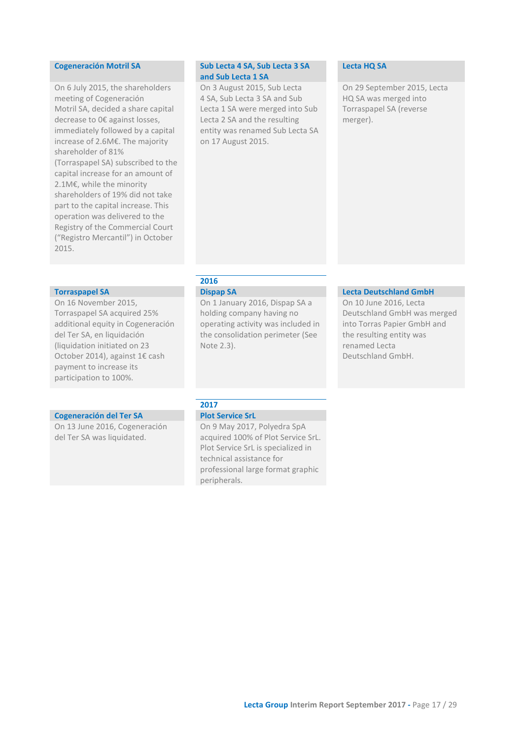On 6 July 2015, the shareholders meeting of Cogeneración Motril SA, decided a share capital decrease to 0€ against losses, immediately followed by a capital increase of 2.6M€. The majority shareholder of 81% (Torraspapel SA) subscribed to the capital increase for an amount of 2.1M€, while the minority shareholders of 19% did not take part to the capital increase. This operation was delivered to the Registry of the Commercial Court ("Registro Mercantil") in October 2015.

On 16 November 2015, Torraspapel SA acquired 25% additional equity in Cogeneración del Ter SA, en liquidación (liquidation initiated on 23 October 2014), against 1€ cash payment to increase its participation to 100%.

### **Cogeneración del Ter SA Plot Service SrL**

On 13 June 2016, Cogeneración del Ter SA was liquidated.

### **Cogeneración Motril SA Sub Lecta 4 SA, Sub Lecta 3 SA and Sub Lecta 1 SA**

On 3 August 2015, Sub Lecta 4 SA, Sub Lecta 3 SA and Sub Lecta 1 SA were merged into Sub Lecta 2 SA and the resulting entity was renamed Sub Lecta SA on 17 August 2015.

### **Lecta HQ SA**

On 29 September 2015, Lecta HQ SA was merged into Torraspapel SA (reverse merger).

## **2016**

Note 2.3).

On 1 January 2016, Dispap SA a holding company having no operating activity was included in the consolidation perimeter (See

### **Torraspapel SA Dispap SA Dispap SA Dispap SA Lecta Deutschland GmbH**

On 10 June 2016, Lecta Deutschland GmbH was merged into Torras Papier GmbH and the resulting entity was renamed Lecta Deutschland GmbH.

## **2017**

On 9 May 2017, Polyedra SpA acquired 100% of Plot Service SrL.

Plot Service SrL is specialized in technical assistance for professional large format graphic peripherals.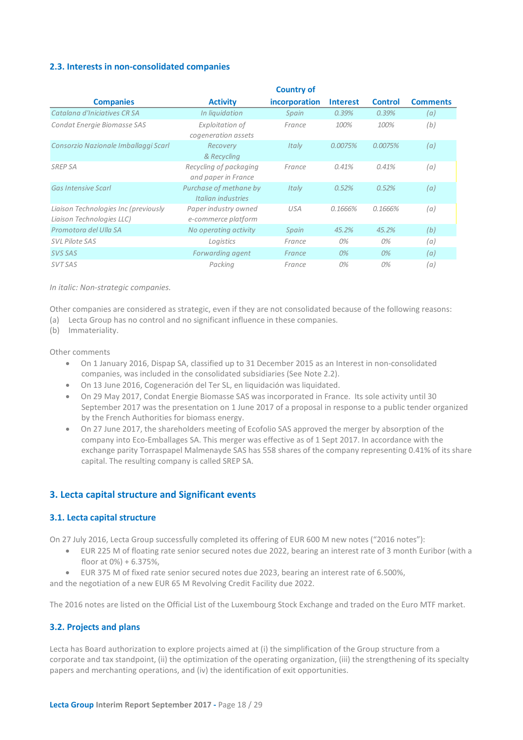### <span id="page-17-0"></span>**2.3. Interests in non-consolidated companies**

|                                                                   |                                                | <b>Country of</b> |                 |                |                 |
|-------------------------------------------------------------------|------------------------------------------------|-------------------|-----------------|----------------|-----------------|
| <b>Companies</b>                                                  | <b>Activity</b>                                | incorporation     | <b>Interest</b> | <b>Control</b> | <b>Comments</b> |
| Catalana d'Iniciatives CR SA                                      | In liquidation                                 | Spain             | 0.39%           | 0.39%          | (a)             |
| Condat Energie Biomasse SAS                                       | Exploitation of                                | France            | 100%            | 100%           | (b)             |
| Consorzio Nazionale Imballaggi Scarl                              | cogeneration assets<br>Recovery<br>& Recycling | Italy             | 0.0075%         | 0.0075%        | (a)             |
| <b>SREP SA</b>                                                    | Recycling of packaging<br>and paper in France  | France            | 0.41%           | 0.41%          | (a)             |
| <b>Gas Intensive Scarl</b>                                        | Purchase of methane by<br>Italian industries   | Italy             | 0.52%           | 0.52%          | (a)             |
| Liaison Technologies Inc (previously<br>Liaison Technologies LLC) | Paper industry owned<br>e-commerce platform    | <b>USA</b>        | 0.1666%         | 0.1666%        | (a)             |
| Promotora del Ulla SA                                             | No operating activity                          | Spain             | 45.2%           | 45.2%          | (b)             |
| <b>SVL Pilote SAS</b>                                             | Logistics                                      | France            | 0%              | 0%             | (a)             |
| SVS SAS                                                           | Forwarding agent                               | France            | 0%              | $0\%$          | (a)             |
| <b>SVT SAS</b>                                                    | Packing                                        | France            | 0%              | 0%             | (a)             |

*In italic: Non-strategic companies.*

Other companies are considered as strategic, even if they are not consolidated because of the following reasons:

- (a) Lecta Group has no control and no significant influence in these companies.
- (b) Immateriality.

Other comments

- On 1 January 2016, Dispap SA, classified up to 31 December 2015 as an Interest in non-consolidated companies, was included in the consolidated subsidiaries (See Note 2.2).
- On 13 June 2016, Cogeneración del Ter SL, en liquidación was liquidated.
- On 29 May 2017, Condat Energie Biomasse SAS was incorporated in France. Its sole activity until 30 September 2017 was the presentation on 1 June 2017 of a proposal in response to a public tender organized by the French Authorities for biomass energy.
- On 27 June 2017, the shareholders meeting of Ecofolio SAS approved the merger by absorption of the company into Eco-Emballages SA. This merger was effective as of 1 Sept 2017. In accordance with the exchange parity Torraspapel Malmenayde SAS has 558 shares of the company representing 0.41% of its share capital. The resulting company is called SREP SA.

### **3. Lecta capital structure and Significant events**

### **3.1. Lecta capital structure**

On 27 July 2016, Lecta Group successfully completed its offering of EUR 600 M new notes ("2016 notes"):

- <span id="page-17-2"></span><span id="page-17-1"></span>• EUR 225 M of floating rate senior secured notes due 2022, bearing an interest rate of 3 month Euribor (with a floor at 0%) + 6.375%,
- EUR 375 M of fixed rate senior secured notes due 2023, bearing an interest rate of 6.500%,

and the negotiation of a new EUR 65 M Revolving Credit Facility due 2022.

The 2016 notes are listed on the Official List of the Luxembourg Stock Exchange and traded on the Euro MTF market.

### <span id="page-17-3"></span>**3.2. Projects and plans**

Lecta has Board authorization to explore projects aimed at (i) the simplification of the Group structure from a corporate and tax standpoint, (ii) the optimization of the operating organization, (iii) the strengthening of its specialty papers and merchanting operations, and (iv) the identification of exit opportunities.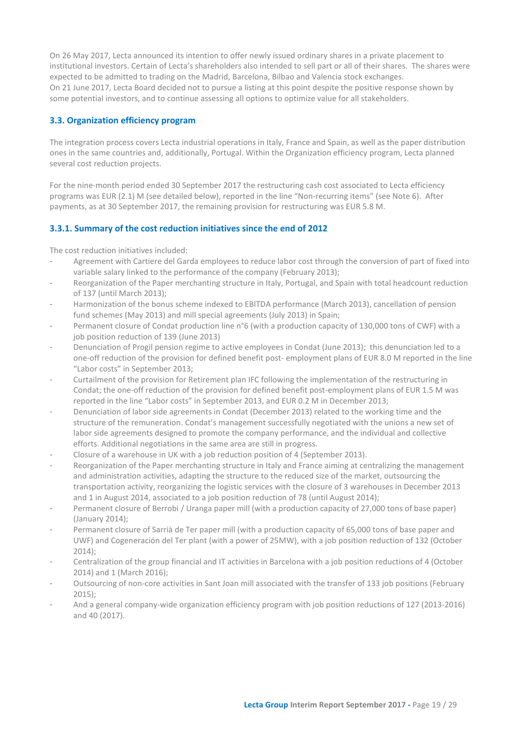On 26 May 2017, Lecta announced its intention to offer newly issued ordinary shares in a private placement to institutional investors. Certain of Lecta's shareholders also intended to sell part or all of their shares. The shares were expected to be admitted to trading on the Madrid, Barcelona, Bilbao and Valencia stock exchanges. On 21 June 2017, Lecta Board decided not to pursue a listing at this point despite the positive response shown by some potential investors, and to continue assessing all options to optimize value for all stakeholders.

### <span id="page-18-0"></span>**3.3. Organization efficiency program**

The integration process covers Lecta industrial operations in Italy, France and Spain, as well as the paper distribution ones in the same countries and, additionally, Portugal. Within the Organization efficiency program, Lecta planned several cost reduction projects.

For the nine-month period ended 30 September 2017 the restructuring cash cost associated to Lecta efficiency programs was EUR (2.1) M (see detailed below), reported in the line "Non-recurring items" (see Note 6). After payments, as at 30 September 2017, the remaining provision for restructuring was EUR 5.8 M.

### <span id="page-18-1"></span>**3.3.1. Summary of the cost reduction initiatives since the end of 2012**

The cost reduction initiatives included:

- Agreement with Cartiere del Garda employees to reduce labor cost through the conversion of part of fixed into variable salary linked to the performance of the company (February 2013);
- Reorganization of the Paper merchanting structure in Italy, Portugal, and Spain with total headcount reduction of 137 (until March 2013);
- Harmonization of the bonus scheme indexed to EBITDA performance (March 2013), cancellation of pension fund schemes (May 2013) and mill special agreements (July 2013) in Spain;
- Permanent closure of Condat production line n°6 (with a production capacity of 130,000 tons of CWF) with a job position reduction of 139 (June 2013)
- Denunciation of Progil pension regime to active employees in Condat (June 2013); this denunciation led to a one-off reduction of the provision for defined benefit post- employment plans of EUR 8.0 M reported in the line "Labor costs" in September 2013;
- Curtailment of the provision for Retirement plan IFC following the implementation of the restructuring in Condat; the one-off reduction of the provision for defined benefit post-employment plans of EUR 1.5 M was reported in the line "Labor costs" in September 2013, and EUR 0.2 M in December 2013;
- Denunciation of labor side agreements in Condat (December 2013) related to the working time and the structure of the remuneration. Condat's management successfully negotiated with the unions a new set of labor side agreements designed to promote the company performance, and the individual and collective efforts. Additional negotiations in the same area are still in progress.
- Closure of a warehouse in UK with a job reduction position of 4 (September 2013).
- Reorganization of the Paper merchanting structure in Italy and France aiming at centralizing the management and administration activities, adapting the structure to the reduced size of the market, outsourcing the transportation activity, reorganizing the logistic services with the closure of 3 warehouses in December 2013 and 1 in August 2014, associated to a job position reduction of 78 (until August 2014);
- Permanent closure of Berrobi / Uranga paper mill (with a production capacity of 27,000 tons of base paper) (January 2014);
- Permanent closure of Sarrià de Ter paper mill (with a production capacity of 65,000 tons of base paper and UWF) and Cogeneración del Ter plant (with a power of 25MW), with a job position reduction of 132 (October 2014);
- Centralization of the group financial and IT activities in Barcelona with a job position reductions of 4 (October 2014) and 1 (March 2016);
- Outsourcing of non-core activities in Sant Joan mill associated with the transfer of 133 job positions (February 2015);
- And a general company-wide organization efficiency program with job position reductions of 127 (2013-2016) and 40 (2017).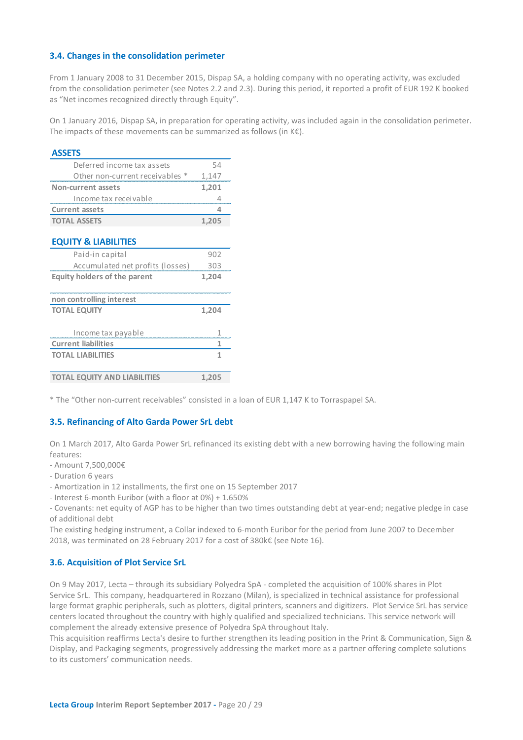### <span id="page-19-0"></span>**3.4. Changes in the consolidation perimeter**

From 1 January 2008 to 31 December 2015, Dispap SA, a holding company with no operating activity, was excluded from the consolidation perimeter (see Notes 2.2 and 2.3). During this period, it reported a profit of EUR 192 K booked as "Net incomes recognized directly through Equity".

On 1 January 2016, Dispap SA, in preparation for operating activity, was included again in the consolidation perimeter. The impacts of these movements can be summarized as follows (in  $K \in \mathbb{R}$ ).

### **ASSETS**

| Deferred income tax assets      | 54    |
|---------------------------------|-------|
| Other non-current receivables * | 1,147 |
| Non-current assets              | 1,201 |
| Income tax receivable           |       |
| <b>Current assets</b>           |       |
| <b>TOTAL ASSETS</b>             | 1.205 |

### **EQUITY & LIABILITIES**

| 902   |
|-------|
|       |
| 303   |
| 1,204 |
|       |
|       |
| 1,204 |
|       |
|       |
|       |
| 1     |
|       |
|       |
|       |

\* The "Other non-current receivables" consisted in a loan of EUR 1,147 K to Torraspapel SA.

### <span id="page-19-1"></span>**3.5. Refinancing of Alto Garda Power SrL debt**

On 1 March 2017, Alto Garda Power SrL refinanced its existing debt with a new borrowing having the following main features:

- Amount 7,500,000€
- Duration 6 years
- Amortization in 12 installments, the first one on 15 September 2017
- Interest 6-month Euribor (with a floor at 0%) + 1.650%

- Covenants: net equity of AGP has to be higher than two times outstanding debt at year-end; negative pledge in case of additional debt

The existing hedging instrument, a Collar indexed to 6-month Euribor for the period from June 2007 to December 2018, was terminated on 28 February 2017 for a cost of 380k€ (see Note 16).

### <span id="page-19-2"></span>**3.6. Acquisition of Plot Service SrL**

On 9 May 2017, Lecta – through its subsidiary Polyedra SpA - completed the acquisition of 100% shares in Plot Service SrL. This company, headquartered in Rozzano (Milan), is specialized in technical assistance for professional large format graphic peripherals, such as plotters, digital printers, scanners and digitizers. Plot Service SrL has service centers located throughout the country with highly qualified and specialized technicians. This service network will complement the already extensive presence of Polyedra SpA throughout Italy.

This acquisition reaffirms Lecta's desire to further strengthen its leading position in the Print & Communication, Sign & Display, and Packaging segments, progressively addressing the market more as a partner offering complete solutions to its customers' communication needs.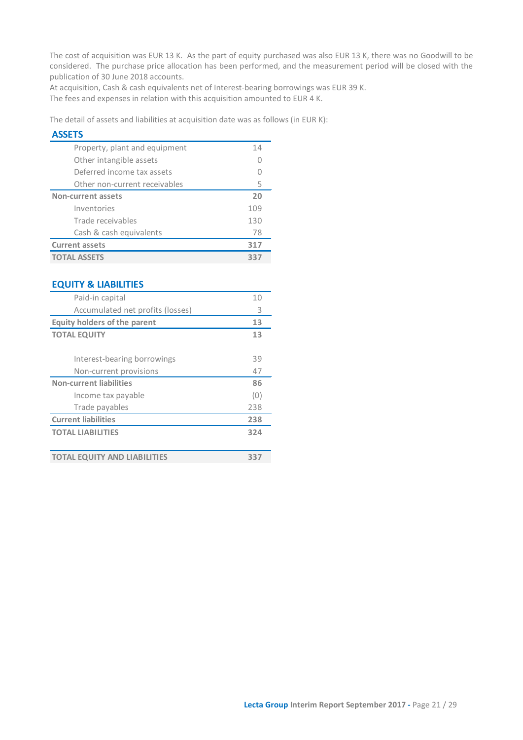The cost of acquisition was EUR 13 K. As the part of equity purchased was also EUR 13 K, there was no Goodwill to be considered. The purchase price allocation has been performed, and the measurement period will be closed with the publication of 30 June 2018 accounts.

At acquisition, Cash & cash equivalents net of Interest-bearing borrowings was EUR 39 K.

The fees and expenses in relation with this acquisition amounted to EUR 4 K.

The detail of assets and liabilities at acquisition date was as follows (in EUR K):

### **ASSETS**

| Property, plant and equipment | 14  |
|-------------------------------|-----|
| Other intangible assets       |     |
| Deferred income tax assets    |     |
| Other non-current receivables | 5   |
| <b>Non-current assets</b>     | 20  |
| Inventories                   | 109 |
| Trade receivables             | 130 |
| Cash & cash equivalents       | 78  |
| <b>Current assets</b>         | 317 |
| <b>TOTAL ASSETS</b>           | 337 |

### **EQUITY & LIABILITIES**

| Paid-in capital                     | 10  |
|-------------------------------------|-----|
| Accumulated net profits (losses)    | 3   |
| Equity holders of the parent        | 13  |
| <b>TOTAL EQUITY</b>                 | 13  |
|                                     |     |
| Interest-bearing borrowings         | 39  |
| Non-current provisions              | 47  |
| <b>Non-current liabilities</b>      | 86  |
| Income tax payable                  | (0) |
| Trade payables                      | 238 |
| <b>Current liabilities</b>          | 238 |
| <b>TOTAL LIABILITIES</b>            | 324 |
|                                     |     |
| <b>TOTAL EQUITY AND LIABILITIES</b> | 337 |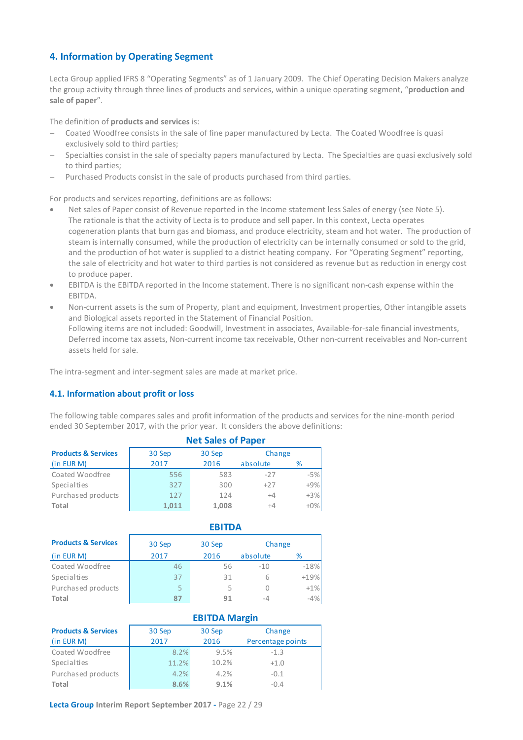### <span id="page-21-0"></span>**4. Information by Operating Segment**

Lecta Group applied IFRS 8 "Operating Segments" as of 1 January 2009. The Chief Operating Decision Makers analyze the group activity through three lines of products and services, within a unique operating segment, "**production and sale of paper**".

The definition of **products and services** is:

- − Coated Woodfree consists in the sale of fine paper manufactured by Lecta. The Coated Woodfree is quasi exclusively sold to third parties;
- Specialties consist in the sale of specialty papers manufactured by Lecta. The Specialties are quasi exclusively sold to third parties;
- Purchased Products consist in the sale of products purchased from third parties.

For products and services reporting, definitions are as follows:

- Net sales of Paper consist of Revenue reported in the Income statement less Sales of energy (see Note 5). The rationale is that the activity of Lecta is to produce and sell paper. In this context, Lecta operates cogeneration plants that burn gas and biomass, and produce electricity, steam and hot water. The production of steam is internally consumed, while the production of electricity can be internally consumed or sold to the grid, and the production of hot water is supplied to a district heating company. For "Operating Segment" reporting, the sale of electricity and hot water to third parties is not considered as revenue but as reduction in energy cost to produce paper.
- EBITDA is the EBITDA reported in the Income statement. There is no significant non-cash expense within the EBITDA.
- Non-current assets is the sum of Property, plant and equipment, Investment properties, Other intangible assets and Biological assets reported in the Statement of Financial Position. Following items are not included: Goodwill, Investment in associates, Available-for-sale financial investments, Deferred income tax assets, Non-current income tax receivable, Other non-current receivables and Non-current assets held for sale.

The intra-segment and inter-segment sales are made at market price.

### <span id="page-21-1"></span>**4.1. Information about profit or loss**

The following table compares sales and profit information of the products and services for the nine-month period ended 30 September 2017, with the prior year. It considers the above definitions:

|                                | <b>Net Sales of Paper</b> |        |          |        |
|--------------------------------|---------------------------|--------|----------|--------|
| <b>Products &amp; Services</b> | 30 Sep                    | 30 Sep | Change   |        |
| (in EUR M)                     | 2017                      | 2016   | absolute | %      |
| Coated Woodfree                | 556                       | 583    | $-27$    | $-5%$  |
| Specialties                    | 327                       | 300    | $+27$    | $+9%$  |
| Purchased products             | 127                       | 124    | $+4$     | $+3%$  |
| Total                          | 1,011                     | 1,008  | $+4$     | $+0\%$ |

|                                | <b>EBITDA</b> |        |          |        |
|--------------------------------|---------------|--------|----------|--------|
| <b>Products &amp; Services</b> | 30 Sep        | 30 Sep |          | Change |
| (in EUR M)                     | 2017          | 2016   | absolute | %      |
| Coated Woodfree                | 46            | 56     | $-10$    | $-18%$ |
| Specialties                    | 37            | 31     |          | $+19%$ |
| Purchased products             | 5             |        |          | $+1%$  |
| Total                          |               | 91     | $-1$     | $-4%$  |

### **EBITDA Margin**

| <b>Products &amp; Services</b><br>(in EUR M) | 30 Sep<br>2017 | 30 Sep<br>2016 | Change<br>Percentage points |
|----------------------------------------------|----------------|----------------|-----------------------------|
| Coated Woodfree                              | 8.2%           | 9.5%           | $-1.3$                      |
| Specialties                                  | 11.2%          | 10.2%          | $+1.0$                      |
| Purchased products                           | 4.2%           | 4.2%           | $-0.1$                      |
| Total                                        | 8.6%           | 9.1%           | $-0.4$                      |

**Lecta Group Interim Report September 2017 -** Page 22 / 29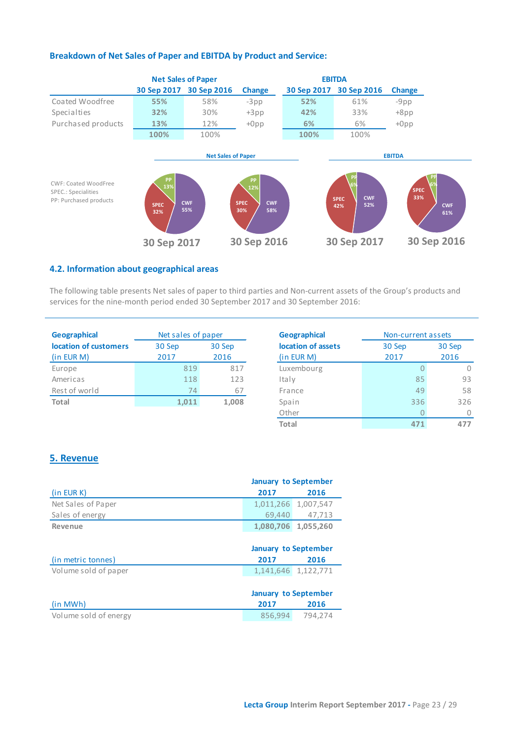

### **Breakdown of Net Sales of Paper and EBITDA by Product and Service:**

### **4.2. Information about geographical areas**

The following table presents Net sales of paper to third parties and Non-current assets of the Group's products and services for the nine-month period ended 30 September 2017 and 30 September 2016:

| <b>Geographical</b>   | Net sales of paper |        | <b>Geographical</b> |
|-----------------------|--------------------|--------|---------------------|
| location of customers | 30 Sep             | 30 Sep | location of as      |
| (in EUR M)            | 2017               | 2016   | (in EUR M)          |
| Europe                | 819                | 817    | Luxembourg          |
| Americas              | 118                | 123    | Italy               |
| Rest of world         | 74                 | 67     | France              |
| Total                 | 1,011              | 1,008  | Spain               |
|                       |                    |        | ___                 |

<span id="page-22-0"></span>

| <b>Geographical</b> | Non-current assets |      |  |  |
|---------------------|--------------------|------|--|--|
| location of assets  | 30 Sep<br>30 Sep   |      |  |  |
| (in EUR M)          | 2017               | 2016 |  |  |
| Luxembourg          | $\bigcap$          |      |  |  |
| Italy               | 85                 | 93   |  |  |
| France              | 49                 | 58   |  |  |
| Spain               | 336                | 326  |  |  |
| Other               | $\Box$             |      |  |  |
| <b>Total</b>        | 471                | 477  |  |  |

### <span id="page-22-1"></span>**5. Revenue**

|                      | <b>January to September</b> |                             |  |  |
|----------------------|-----------------------------|-----------------------------|--|--|
| (in EUR K)           | 2017                        | 2016                        |  |  |
| Net Sales of Paper   | 1,011,266                   | 1,007,547                   |  |  |
| Sales of energy      | 69.440                      | 47,713                      |  |  |
| Revenue              | 1,080,706                   | 1,055,260                   |  |  |
|                      |                             |                             |  |  |
|                      |                             | <b>January to September</b> |  |  |
| (in metric tonnes)   | 2017                        | 2016                        |  |  |
|                      |                             |                             |  |  |
| Volume sold of paper |                             | 1,141,646 1,122,771         |  |  |
|                      |                             |                             |  |  |
|                      | <b>January to September</b> |                             |  |  |
| (in MWh)             | 2017                        | 2016                        |  |  |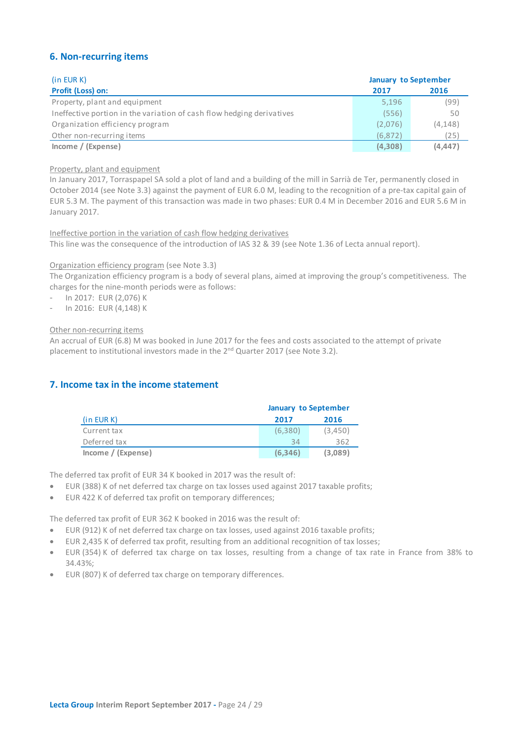### <span id="page-23-0"></span>**6. Non-recurring items**

| (in EUR K)                                                            | <b>January to September</b> |          |
|-----------------------------------------------------------------------|-----------------------------|----------|
| Profit (Loss) on:                                                     | 2017                        | 2016     |
| Property, plant and equipment                                         | 5,196                       | (99)     |
| Ineffective portion in the variation of cash flow hedging derivatives | (556)                       | 50       |
| Organization efficiency program                                       | (2,076)                     | (4, 148) |
| Other non-recurring items                                             | (6, 872)                    | (25)     |
| Income / (Expense)                                                    | (4,308)                     | (4, 447) |

### Property, plant and equipment

In January 2017, Torraspapel SA sold a plot of land and a building of the mill in Sarrià de Ter, permanently closed in October 2014 (see Note 3.3) against the payment of EUR 6.0 M, leading to the recognition of a pre-tax capital gain of EUR 5.3 M. The payment of this transaction was made in two phases: EUR 0.4 M in December 2016 and EUR 5.6 M in January 2017.

Ineffective portion in the variation of cash flow hedging derivatives

This line was the consequence of the introduction of IAS 32 & 39 (see Note 1.36 of Lecta annual report).

### Organization efficiency program (see Note 3.3)

The Organization efficiency program is a body of several plans, aimed at improving the group's competitiveness. The charges for the nine-month periods were as follows:

- In 2017: EUR (2,076) K
- In 2016: EUR (4,148) K

### Other non-recurring items

An accrual of EUR (6.8) M was booked in June 2017 for the fees and costs associated to the attempt of private placement to institutional investors made in the 2<sup>nd</sup> Quarter 2017 (see Note 3.2).

### **7. Income tax in the income statement**

<span id="page-23-1"></span>

|                    | <b>January to September</b> |         |  |
|--------------------|-----------------------------|---------|--|
| (in EUR K)         | 2017                        | 2016    |  |
| Current tax        | (6.380)                     | (3,450) |  |
| Deferred tax       | 34                          | 362     |  |
| Income / (Expense) | (6.346)                     | (3,089) |  |

The deferred tax profit of EUR 34 K booked in 2017 was the result of:

- EUR (388) K of net deferred tax charge on tax losses used against 2017 taxable profits;
- EUR 422 K of deferred tax profit on temporary differences;

The deferred tax profit of EUR 362 K booked in 2016 was the result of:

- EUR (912) K of net deferred tax charge on tax losses, used against 2016 taxable profits;
- EUR 2,435 K of deferred tax profit, resulting from an additional recognition of tax losses;
- EUR (354) K of deferred tax charge on tax losses, resulting from a change of tax rate in France from 38% to 34.43%;
- EUR (807) K of deferred tax charge on temporary differences.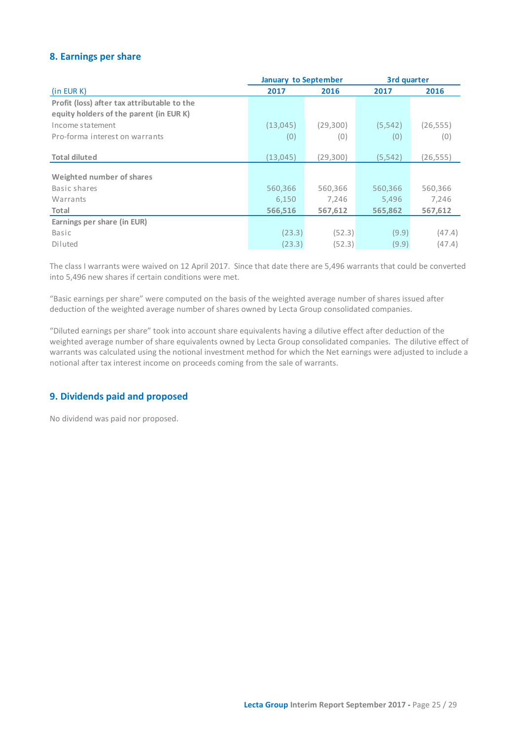### <span id="page-24-0"></span>**8. Earnings per share**

|                                             | <b>January to September</b> |           | 3rd quarter |           |
|---------------------------------------------|-----------------------------|-----------|-------------|-----------|
| (in EUR K)                                  | 2017                        | 2016      | 2017        | 2016      |
| Profit (loss) after tax attributable to the |                             |           |             |           |
| equity holders of the parent (in EUR K)     |                             |           |             |           |
| Income statement                            | (13,045)                    | (29,300)  | (5, 542)    | (26, 555) |
| Pro-forma interest on warrants              | (0)                         | (0)       | (0)         | (0)       |
|                                             |                             |           |             |           |
| <b>Total diluted</b>                        | (13, 045)                   | (29, 300) | (5, 542)    | (26, 555) |
| Weighted number of shares                   |                             |           |             |           |
| Basic shares                                | 560,366                     | 560,366   | 560,366     | 560,366   |
| Warrants                                    | 6,150                       | 7,246     | 5,496       | 7,246     |
| Total                                       | 566,516                     | 567,612   | 565,862     | 567,612   |
| Earnings per share (in EUR)                 |                             |           |             |           |
| Basic                                       | (23.3)                      | (52.3)    | (9.9)       | (47.4)    |
| Diluted                                     | (23.3)                      | (52.3)    | (9.9)       | (47.4)    |

The class I warrants were waived on 12 April 2017. Since that date there are 5,496 warrants that could be converted into 5,496 new shares if certain conditions were met.

"Basic earnings per share" were computed on the basis of the weighted average number of shares issued after deduction of the weighted average number of shares owned by Lecta Group consolidated companies.

"Diluted earnings per share" took into account share equivalents having a dilutive effect after deduction of the weighted average number of share equivalents owned by Lecta Group consolidated companies. The dilutive effect of warrants was calculated using the notional investment method for which the Net earnings were adjusted to include a notional after tax interest income on proceeds coming from the sale of warrants.

### <span id="page-24-1"></span>**9. Dividends paid and proposed**

No dividend was paid nor proposed.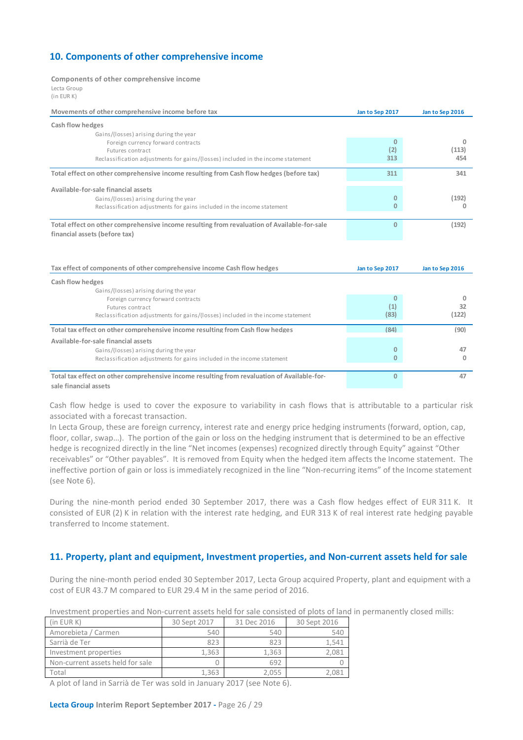### <span id="page-25-0"></span>**10. Components of other comprehensive income**

### **Components of other comprehensive income**

Lecta Group (in EUR K)

| Movements of other comprehensive income before tax                                          | Jan to Sep 2017 | Jan to Sep 2016 |
|---------------------------------------------------------------------------------------------|-----------------|-----------------|
| Cash flow hedges                                                                            |                 |                 |
| Gains/(losses) arising during the year                                                      |                 |                 |
| Foreign currency forward contracts                                                          | $\mathbf{0}$    | o               |
| Futures contract                                                                            | (2)             | (113)<br>454    |
| Reclassification adjustments for gains/(losses) included in the income statement            | 313             |                 |
| Total effect on other comprehensive income resulting from Cash flow hedges (before tax)     | 311             | 341             |
| Available-for-sale financial assets                                                         |                 |                 |
| Gains/(losses) arising during the year                                                      | $\Omega$        | (192)           |
| Reclassification adjustments for gains included in the income statement                     | $\mathbf{0}$    | n               |
| Total effect on other comprehensive income resulting from revaluation of Available-for-sale | $\Omega$        | (192)           |
| financial assets (before tax)                                                               |                 |                 |
| Tax effect of components of other comprehensive income Cash flow hedges                     | Jan to Sep 2017 | Jan to Sep 2016 |
| Cash flow hedges                                                                            |                 |                 |
| Gains/(losses) arising during the year                                                      |                 |                 |
| Foreign currency forward contracts                                                          | $\Omega$        | 0               |
| Futures contract                                                                            | (1)             | 32              |
| Reclassification adjustments for gains/(losses) included in the income statement            | (83)            | (122)           |
| Total tax effect on other comprehensive income resulting from Cash flow hedges              | (84)            | (90)            |
| Available-for-sale financial assets                                                         |                 |                 |
| Gains/(losses) arising during the year                                                      | 0               | 47              |
| Reclassification adjustments for gains included in the income statement                     | $\mathbf{0}$    | 0               |
| Total tax effect on other comprehensive income resulting from revaluation of Available-for- | $\mathbf{0}$    | 47              |
| sale financial assets                                                                       |                 |                 |

Cash flow hedge is used to cover the exposure to variability in cash flows that is attributable to a particular risk associated with a forecast transaction.

In Lecta Group, these are foreign currency, interest rate and energy price hedging instruments (forward, option, cap, floor, collar, swap…). The portion of the gain or loss on the hedging instrument that is determined to be an effective hedge is recognized directly in the line "Net incomes (expenses) recognized directly through Equity" against "Other receivables" or "Other payables". It is removed from Equity when the hedged item affects the Income statement. The ineffective portion of gain or loss is immediately recognized in the line "Non-recurring items" of the Income statement (see Note 6).

During the nine-month period ended 30 September 2017, there was a Cash flow hedges effect of EUR 311 K. It consisted of EUR (2) K in relation with the interest rate hedging, and EUR 313 K of real interest rate hedging payable transferred to Income statement.

### <span id="page-25-1"></span>**11. Property, plant and equipment, Investment properties, and Non-current assets held for sale**

During the nine-month period ended 30 September 2017, Lecta Group acquired Property, plant and equipment with a cost of EUR 43.7 M compared to EUR 29.4 M in the same period of 2016.

| Investment properties and Non-current assets held for sale consisted of plots of land in permanently closed mills |  |  |
|-------------------------------------------------------------------------------------------------------------------|--|--|
|                                                                                                                   |  |  |

| $(in$ EUR $K)$                   | 30 Sept 2017 | 31 Dec 2016 | 30 Sept 2016 |
|----------------------------------|--------------|-------------|--------------|
| Amorebieta / Carmen              | 540          | 540         | 540          |
| Sarrià de Ter                    | 823          | 823         | 1.541        |
| Investment properties            | 1.363        | 1.363       | 2.081        |
| Non-current assets held for sale |              | 692         |              |
| Total                            | 1.363        | 2.055       | 2.081        |
|                                  |              |             |              |

A plot of land in Sarrià de Ter was sold in January 2017 (see Note 6).

### **Lecta Group Interim Report September 2017 -** Page 26 / 29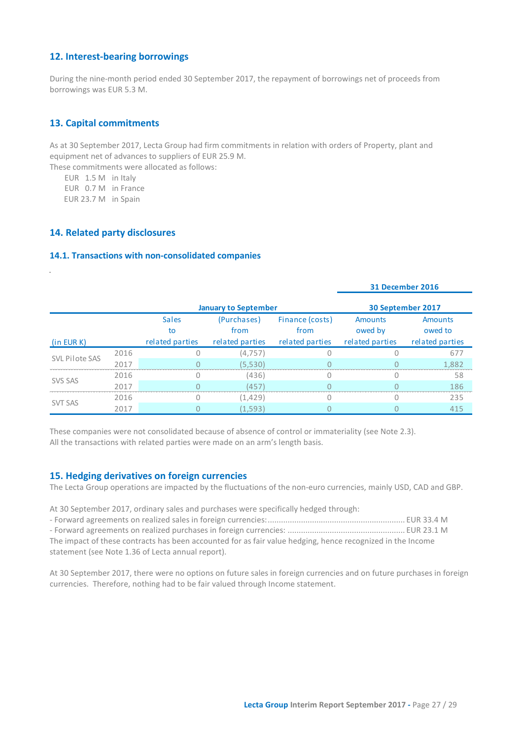### <span id="page-26-0"></span>**12. Interest-bearing borrowings**

During the nine-month period ended 30 September 2017, the repayment of borrowings net of proceeds from borrowings was EUR 5.3 M.

### <span id="page-26-1"></span>**13. Capital commitments**

As at 30 September 2017, Lecta Group had firm commitments in relation with orders of Property, plant and equipment net of advances to suppliers of EUR 25.9 M.

These commitments were allocated as follows:

EUR 1.5 M in Italy

EUR 0.7 M in France

<span id="page-26-3"></span><span id="page-26-2"></span>EUR 23.7 M in Spain

### **14. Related party disclosures**

### **14.1. Transactions with non-consolidated companies**

|                             |      |                                       |                                        |                                            | <b>31 December 2016</b>                      |                                              |  |
|-----------------------------|------|---------------------------------------|----------------------------------------|--------------------------------------------|----------------------------------------------|----------------------------------------------|--|
| <b>January to September</b> |      |                                       |                                        |                                            | 30 September 2017                            |                                              |  |
| (in EUR K)                  |      | <b>Sales</b><br>to<br>related parties | (Purchases)<br>from<br>related parties | Finance (costs)<br>from<br>related parties | <b>Amounts</b><br>owed by<br>related parties | <b>Amounts</b><br>owed to<br>related parties |  |
| SVL Pilote SAS              | 2016 |                                       | (4, 757)                               |                                            |                                              | 677                                          |  |
|                             | 2017 |                                       | (5,530)                                |                                            |                                              | 1,882                                        |  |
| <b>SVS SAS</b>              | 2016 | 0                                     | (436)                                  | $\Omega$                                   |                                              | 58                                           |  |
|                             | 2017 |                                       | (457)                                  |                                            |                                              | 186                                          |  |
| <b>SVT SAS</b>              | 2016 |                                       | (1, 429)                               |                                            |                                              | 235                                          |  |
|                             | 2017 |                                       | (1, 593)                               |                                            |                                              | 415                                          |  |

These companies were not consolidated because of absence of control or immateriality (see Note 2.3). All the transactions with related parties were made on an arm's length basis.

### <span id="page-26-4"></span>**15. Hedging derivatives on foreign currencies**

The Lecta Group operations are impacted by the fluctuations of the non-euro currencies, mainly USD, CAD and GBP.

At 30 September 2017, ordinary sales and purchases were specifically hedged through:

| The impact of these contracts has been accounted for as fair value hedging, hence recognized in the Income |  |
|------------------------------------------------------------------------------------------------------------|--|
| statement (see Note 1.36 of Lecta annual report).                                                          |  |

At 30 September 2017, there were no options on future sales in foreign currencies and on future purchases in foreign currencies. Therefore, nothing had to be fair valued through Income statement.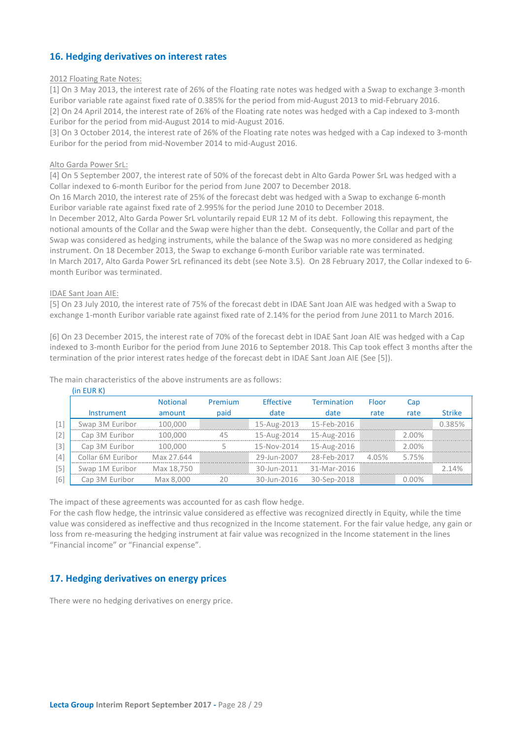### <span id="page-27-0"></span>**16. Hedging derivatives on interest rates**

### 2012 Floating Rate Notes:

[1] On 3 May 2013, the interest rate of 26% of the Floating rate notes was hedged with a Swap to exchange 3-month Euribor variable rate against fixed rate of 0.385% for the period from mid-August 2013 to mid-February 2016. [2] On 24 April 2014, the interest rate of 26% of the Floating rate notes was hedged with a Cap indexed to 3-month Euribor for the period from mid-August 2014 to mid-August 2016.

[3] On 3 October 2014, the interest rate of 26% of the Floating rate notes was hedged with a Cap indexed to 3-month Euribor for the period from mid-November 2014 to mid-August 2016.

### Alto Garda Power SrL:

[4] On 5 September 2007, the interest rate of 50% of the forecast debt in Alto Garda Power SrL was hedged with a Collar indexed to 6-month Euribor for the period from June 2007 to December 2018.

On 16 March 2010, the interest rate of 25% of the forecast debt was hedged with a Swap to exchange 6-month Euribor variable rate against fixed rate of 2.995% for the period June 2010 to December 2018.

In December 2012, Alto Garda Power SrL voluntarily repaid EUR 12 M of its debt. Following this repayment, the notional amounts of the Collar and the Swap were higher than the debt. Consequently, the Collar and part of the Swap was considered as hedging instruments, while the balance of the Swap was no more considered as hedging instrument. On 18 December 2013, the Swap to exchange 6-month Euribor variable rate was terminated. In March 2017, Alto Garda Power SrL refinanced its debt (see Note 3.5). On 28 February 2017, the Collar indexed to 6-

month Euribor was terminated.

### IDAE Sant Joan AIE:

[5] On 23 July 2010, the interest rate of 75% of the forecast debt in IDAE Sant Joan AIE was hedged with a Swap to exchange 1-month Euribor variable rate against fixed rate of 2.14% for the period from June 2011 to March 2016.

[6] On 23 December 2015, the interest rate of 70% of the forecast debt in IDAE Sant Joan AIE was hedged with a Cap indexed to 3-month Euribor for the period from June 2016 to September 2018. This Cap took effect 3 months after the termination of the prior interest rates hedge of the forecast debt in IDAE Sant Joan AIE (See [5]).

|                   | (in EUR K)        |                 |         |                  |                    |       |          |               |
|-------------------|-------------------|-----------------|---------|------------------|--------------------|-------|----------|---------------|
|                   |                   | <b>Notional</b> | Premium | <b>Effective</b> | <b>Termination</b> | Floor | Cap      |               |
|                   | <b>Instrument</b> | amount          | paid    | date             | date               | rate  | rate     | <b>Strike</b> |
| $[1]$             | Swap 3M Euribor   | 100,000         |         | 15-Aug-2013      | 15-Feb-2016        |       |          | 0385%         |
| $\lceil 2 \rceil$ | Cap 3M Euribor    | 100.000         | 45      | 15-Aug-2014      | 15-Aug-2016        |       | 2.00%    |               |
| $\lceil 3 \rceil$ | Cap 3M Euribor    | 100.000         |         | 15-Nov-2014      | 15-Aug-2016        |       | 2.00%    |               |
| $\lceil 4 \rceil$ | Collar 6M Euribor | Max 27.644      |         | 29-Jun-2007      | 28-Feb-2017        | 405%  | 5.75%    |               |
| $\sqrt{5}$        | Swap 1M Euribor   | Max 18.750      |         | 30-Jun-2011      | 31-Mar-2016        |       |          | 110           |
| [6]               | Cap 3M Euribor    | Max 8,000       | フハ      | 30-Jun-2016      | 30-Sep-2018        |       | $0.00\%$ |               |

The main characteristics of the above instruments are as follows:

The impact of these agreements was accounted for as cash flow hedge.

For the cash flow hedge, the intrinsic value considered as effective was recognized directly in Equity, while the time value was considered as ineffective and thus recognized in the Income statement. For the fair value hedge, any gain or loss from re-measuring the hedging instrument at fair value was recognized in the Income statement in the lines "Financial income" or "Financial expense".

### <span id="page-27-1"></span>**17. Hedging derivatives on energy prices**

There were no hedging derivatives on energy price.